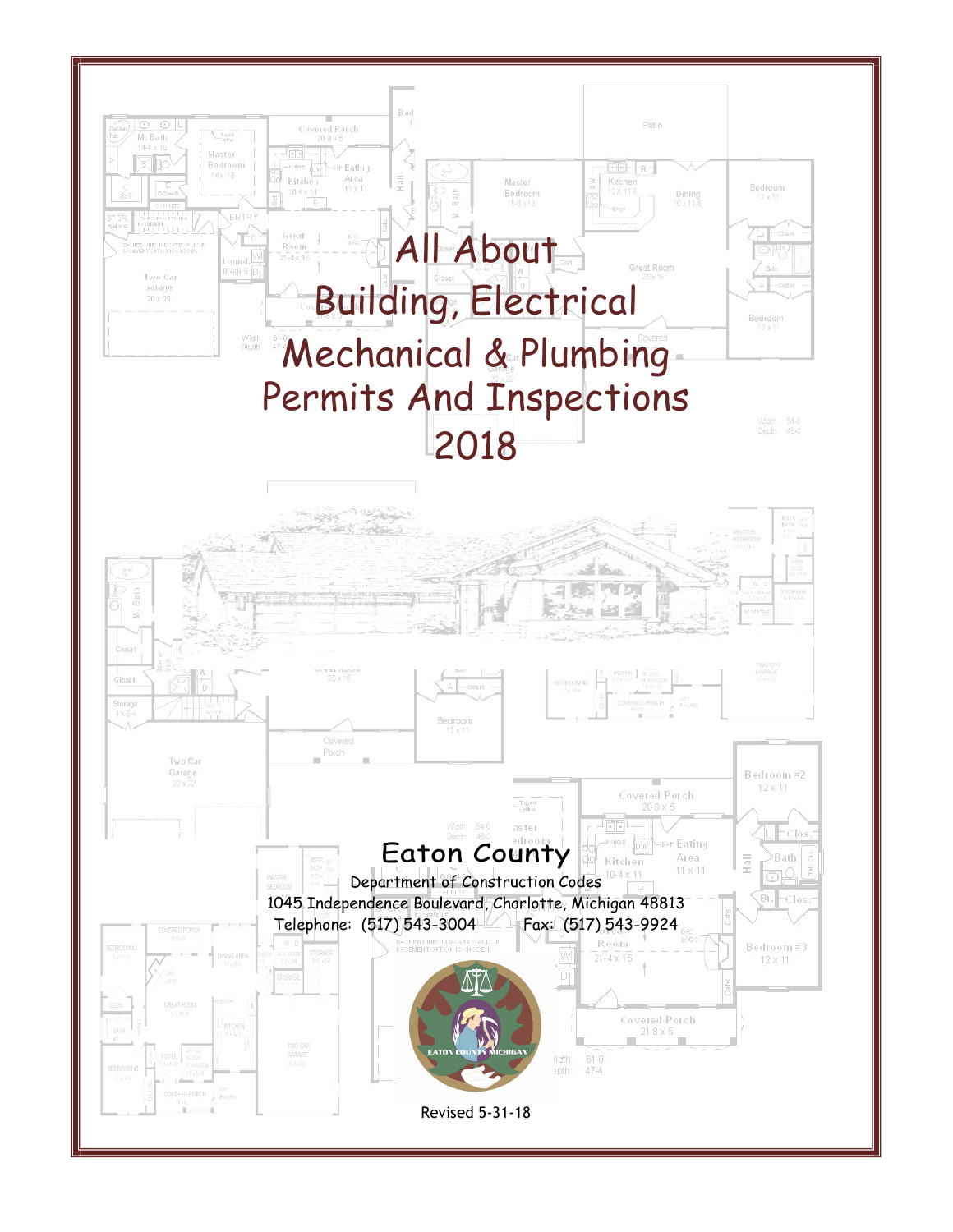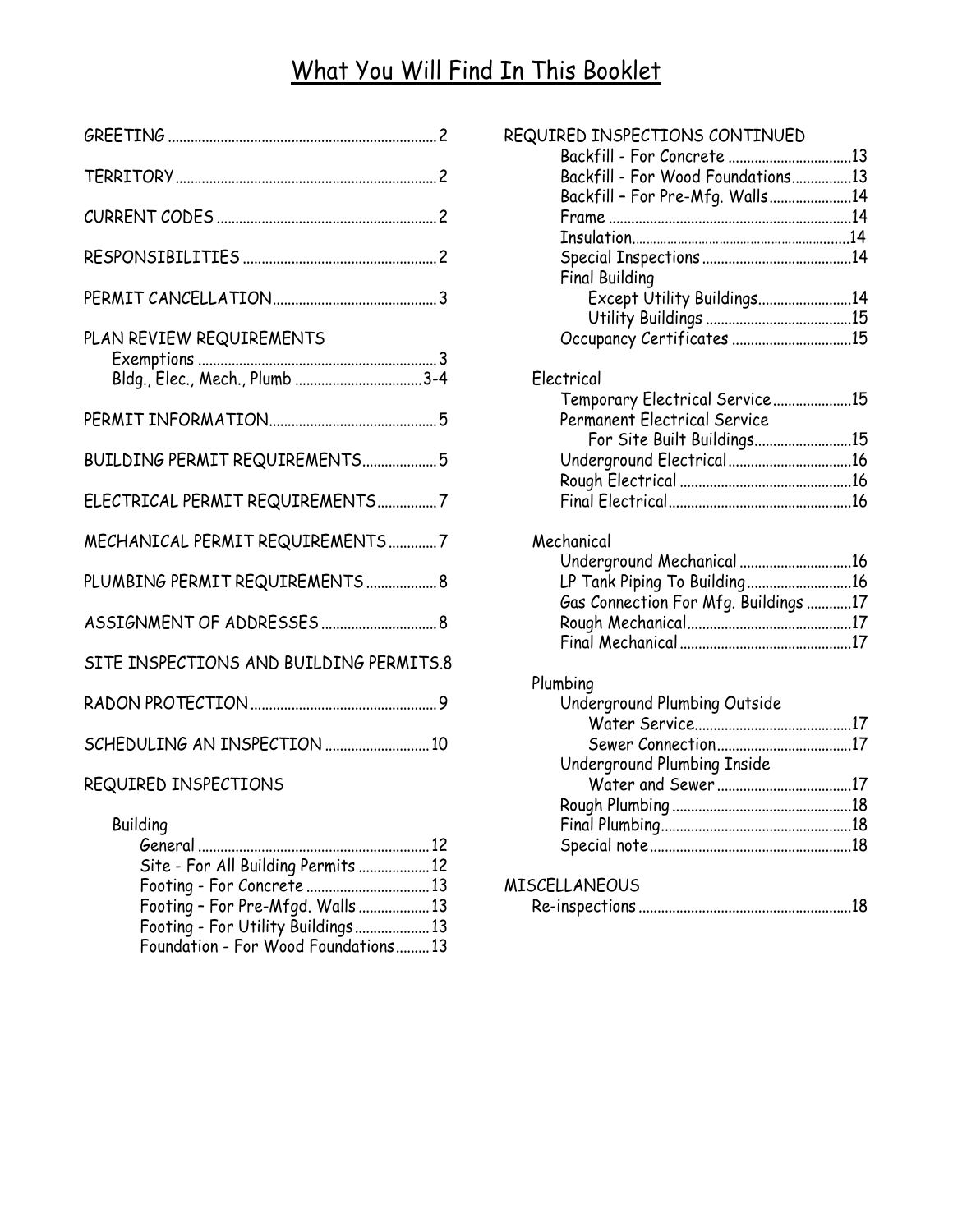# What You Will Find In This Booklet

|                                         | REQUIRED IN                |
|-----------------------------------------|----------------------------|
|                                         | Backfi<br>Backfi           |
|                                         | Backfi<br>Frame<br>Insula  |
|                                         | Specio                     |
|                                         | Final E<br>Ex<br>Ut        |
| PLAN REVIEW REQUIREMENTS                | Occup                      |
| Bldg., Elec., Mech., Plumb 3-4          | Electrical<br>Tempo        |
|                                         | Perma                      |
| BUILDING PERMIT REQUIREMENTS5           | Fo<br>Under<br>Rough       |
| ELECTRICAL PERMIT REQUIREMENTS7         | Final E                    |
| MECHANICAL PERMIT REQUIREMENTS7         | Mechanico<br>Under         |
| PLUMBING PERMIT REQUIREMENTS  8         | LP Tar                     |
|                                         | Gas Co<br>Rough<br>Final 1 |
| SITE INSPECTIONS AND BUILDING PERMITS.8 |                            |
|                                         | Plumbing<br>Under<br>W     |
| SCHEDULING AN INSPECTION  10            | Se<br>Under                |
|                                         |                            |

### REQUIRED INSPECTIONS

Building

| Site - For All Building Permits  12 |                      |
|-------------------------------------|----------------------|
|                                     | <b>MISCELLANEOUS</b> |
| Footing - For Pre-Mfgd. Walls  13   |                      |
| Footing - For Utility Buildings 13  |                      |
| Foundation - For Wood Foundations13 |                      |

|                       | REQUIRED INSPECTIONS CONTINUED       |  |
|-----------------------|--------------------------------------|--|
|                       |                                      |  |
|                       | Backfill - For Wood Foundations13    |  |
|                       | Backfill - For Pre-Mfg. Walls14      |  |
|                       |                                      |  |
|                       |                                      |  |
|                       |                                      |  |
| <b>Final Building</b> |                                      |  |
|                       | Except Utility Buildings14           |  |
|                       |                                      |  |
|                       | Occupancy Certificates 15            |  |
| Electrical            |                                      |  |
|                       | Temporary Electrical Service15       |  |
|                       | <b>Permanent Electrical Service</b>  |  |
|                       | For Site Built Buildings15           |  |
|                       | Underground Electrical16             |  |
|                       |                                      |  |
|                       |                                      |  |
|                       |                                      |  |
| Mechanical            |                                      |  |
|                       | Underground Mechanical 16            |  |
|                       | LP Tank Piping To Building16         |  |
|                       | Gas Connection For Mfg. Buildings 17 |  |
|                       |                                      |  |
|                       |                                      |  |
| Plumbing              |                                      |  |
|                       | Underground Plumbing Outside         |  |
|                       |                                      |  |
|                       | Sewer Connection17                   |  |
|                       | Underground Plumbing Inside          |  |
|                       |                                      |  |
|                       |                                      |  |
|                       |                                      |  |
|                       |                                      |  |
|                       |                                      |  |

|--|--|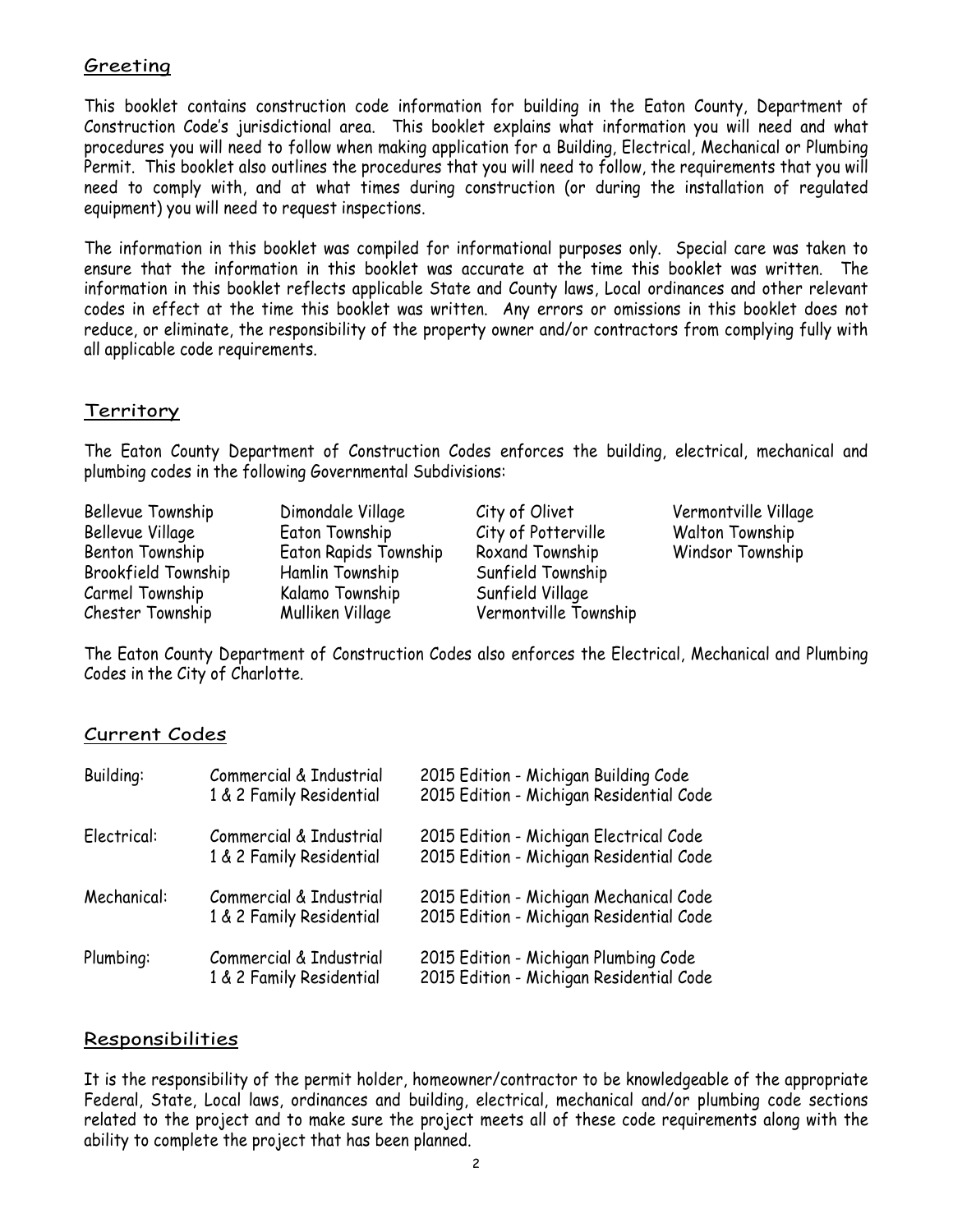#### Greeting

This booklet contains construction code information for building in the Eaton County, Department of Construction Code's jurisdictional area. This booklet explains what information you will need and what procedures you will need to follow when making application for a Building, Electrical, Mechanical or Plumbing Permit. This booklet also outlines the procedures that you will need to follow, the requirements that you will need to comply with, and at what times during construction (or during the installation of regulated equipment) you will need to request inspections.

The information in this booklet was compiled for informational purposes only. Special care was taken to ensure that the information in this booklet was accurate at the time this booklet was written. The information in this booklet reflects applicable State and County laws, Local ordinances and other relevant codes in effect at the time this booklet was written. Any errors or omissions in this booklet does not reduce, or eliminate, the responsibility of the property owner and/or contractors from complying fully with all applicable code requirements.

#### Territory

The Eaton County Department of Construction Codes enforces the building, electrical, mechanical and plumbing codes in the following Governmental Subdivisions:

| Bellevue Township<br>Bellevue Village<br>Benton Township<br>Brookfield Township<br>Carmel Township<br>Chester Township | Dimondale Village<br>Eaton Township<br>Eaton Rapids Township<br>Hamlin Township<br>Kalamo Township<br>Mulliken Village | City of Olivet<br>City of Potterville<br>Roxand Township<br>Sunfield Township<br>Sunfield Village<br>Vermontville Township | Vermontville Village<br><b>Walton Township</b><br>Windsor Township |  |
|------------------------------------------------------------------------------------------------------------------------|------------------------------------------------------------------------------------------------------------------------|----------------------------------------------------------------------------------------------------------------------------|--------------------------------------------------------------------|--|
|------------------------------------------------------------------------------------------------------------------------|------------------------------------------------------------------------------------------------------------------------|----------------------------------------------------------------------------------------------------------------------------|--------------------------------------------------------------------|--|

The Eaton County Department of Construction Codes also enforces the Electrical, Mechanical and Plumbing Codes in the City of Charlotte.

#### Current Codes

| <b>Building:</b> | Commercial & Industrial<br>1 & 2 Family Residential | 2015 Edition - Michigan Building Code<br>2015 Edition - Michigan Residential Code   |  |
|------------------|-----------------------------------------------------|-------------------------------------------------------------------------------------|--|
| Electrical:      | Commercial & Industrial<br>1 & 2 Family Residential | 2015 Edition - Michigan Electrical Code<br>2015 Edition - Michigan Residential Code |  |
| Mechanical:      | Commercial & Industrial<br>1 & 2 Family Residential | 2015 Edition - Michigan Mechanical Code<br>2015 Edition - Michigan Residential Code |  |
| Plumbing:        | Commercial & Industrial<br>1 & 2 Family Residential | 2015 Edition - Michigan Plumbing Code<br>2015 Edition - Michigan Residential Code   |  |

#### Responsibilities

It is the responsibility of the permit holder, homeowner/contractor to be knowledgeable of the appropriate Federal, State, Local laws, ordinances and building, electrical, mechanical and/or plumbing code sections related to the project and to make sure the project meets all of these code requirements along with the ability to complete the project that has been planned.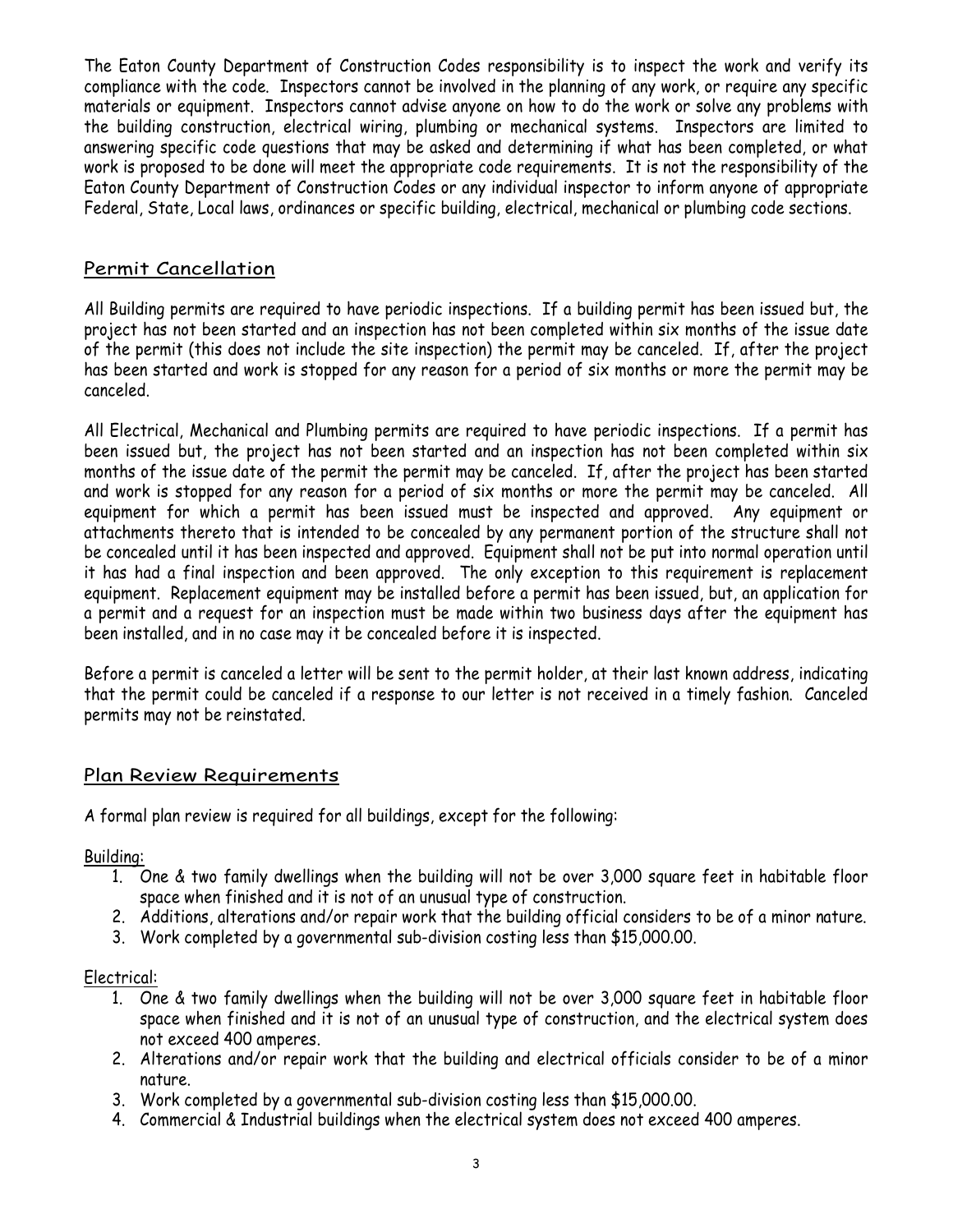The Eaton County Department of Construction Codes responsibility is to inspect the work and verify its compliance with the code. Inspectors cannot be involved in the planning of any work, or require any specific materials or equipment. Inspectors cannot advise anyone on how to do the work or solve any problems with the building construction, electrical wiring, plumbing or mechanical systems. Inspectors are limited to answering specific code questions that may be asked and determining if what has been completed, or what work is proposed to be done will meet the appropriate code requirements. It is not the responsibility of the Eaton County Department of Construction Codes or any individual inspector to inform anyone of appropriate Federal, State, Local laws, ordinances or specific building, electrical, mechanical or plumbing code sections.

#### Permit Cancellation

All Building permits are required to have periodic inspections. If a building permit has been issued but, the project has not been started and an inspection has not been completed within six months of the issue date of the permit (this does not include the site inspection) the permit may be canceled. If, after the project has been started and work is stopped for any reason for a period of six months or more the permit may be canceled.

All Electrical, Mechanical and Plumbing permits are required to have periodic inspections. If a permit has been issued but, the project has not been started and an inspection has not been completed within six months of the issue date of the permit the permit may be canceled. If, after the project has been started and work is stopped for any reason for a period of six months or more the permit may be canceled. All equipment for which a permit has been issued must be inspected and approved. Any equipment or attachments thereto that is intended to be concealed by any permanent portion of the structure shall not be concealed until it has been inspected and approved. Equipment shall not be put into normal operation until it has had a final inspection and been approved. The only exception to this requirement is replacement equipment. Replacement equipment may be installed before a permit has been issued, but, an application for a permit and a request for an inspection must be made within two business days after the equipment has been installed, and in no case may it be concealed before it is inspected.

Before a permit is canceled a letter will be sent to the permit holder, at their last known address, indicating that the permit could be canceled if a response to our letter is not received in a timely fashion. Canceled permits may not be reinstated.

#### Plan Review Requirements

A formal plan review is required for all buildings, except for the following:

Building:

- 1. One & two family dwellings when the building will not be over 3,000 square feet in habitable floor space when finished and it is not of an unusual type of construction.
- 2. Additions, alterations and/or repair work that the building official considers to be of a minor nature.
- 3. Work completed by a governmental sub-division costing less than \$15,000.00.

#### Electrical:

- 1. One & two family dwellings when the building will not be over 3,000 square feet in habitable floor space when finished and it is not of an unusual type of construction, and the electrical system does not exceed 400 amperes.
- 2. Alterations and/or repair work that the building and electrical officials consider to be of a minor nature.
- 3. Work completed by a governmental sub-division costing less than \$15,000.00.
- 4. Commercial & Industrial buildings when the electrical system does not exceed 400 amperes.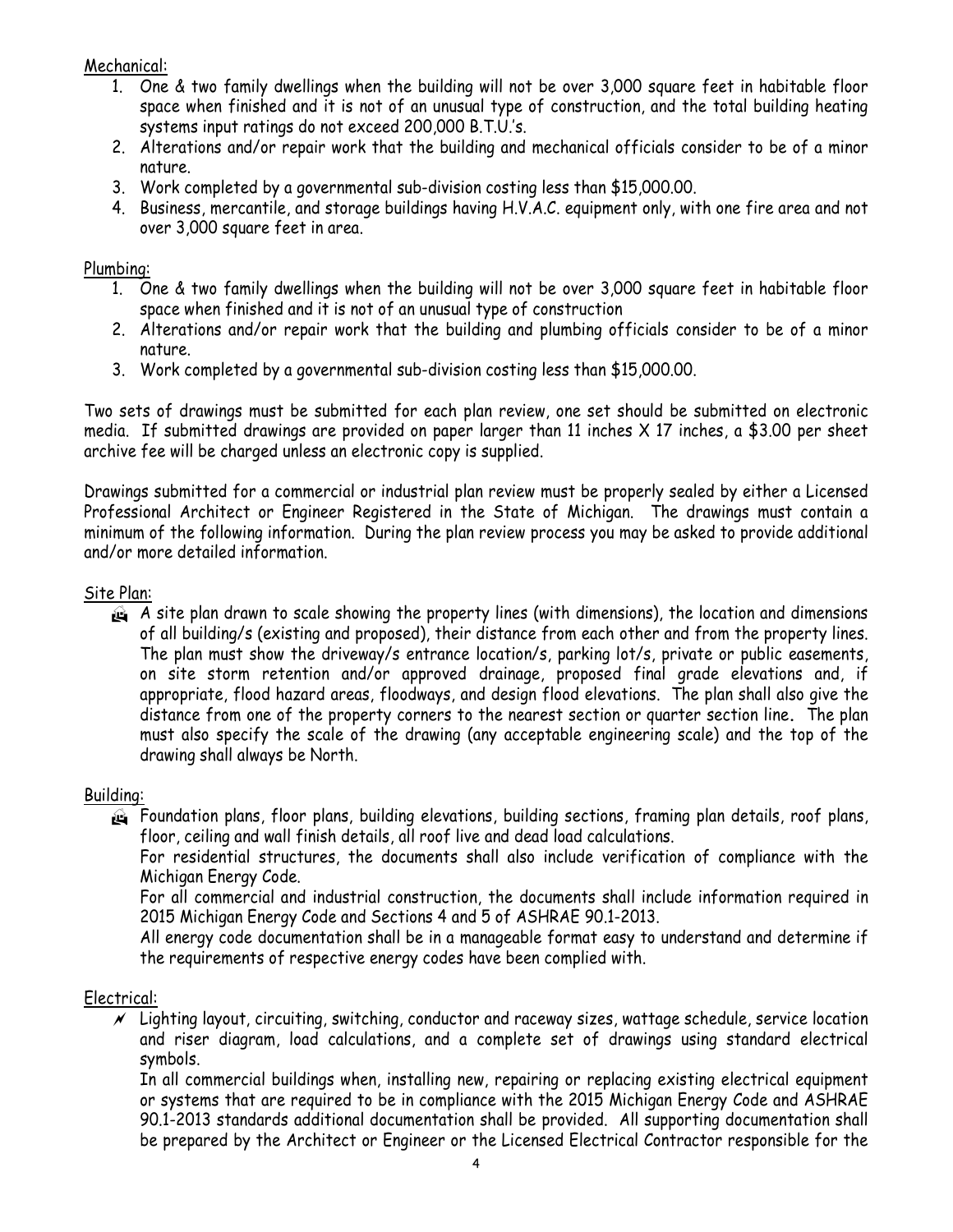#### Mechanical:

- 1. One & two family dwellings when the building will not be over 3,000 square feet in habitable floor space when finished and it is not of an unusual type of construction, and the total building heating systems input ratings do not exceed 200,000 B.T.U.'s.
- 2. Alterations and/or repair work that the building and mechanical officials consider to be of a minor nature.
- 3. Work completed by a governmental sub-division costing less than \$15,000.00.
- 4. Business, mercantile, and storage buildings having H.V.A.C. equipment only, with one fire area and not over 3,000 square feet in area.

#### Plumbing:

- 1. One & two family dwellings when the building will not be over 3,000 square feet in habitable floor space when finished and it is not of an unusual type of construction
- 2. Alterations and/or repair work that the building and plumbing officials consider to be of a minor nature.
- 3. Work completed by a governmental sub-division costing less than \$15,000.00.

Two sets of drawings must be submitted for each plan review, one set should be submitted on electronic media. If submitted drawings are provided on paper larger than 11 inches X 17 inches, a \$3.00 per sheet archive fee will be charged unless an electronic copy is supplied.

Drawings submitted for a commercial or industrial plan review must be properly sealed by either a Licensed Professional Architect or Engineer Registered in the State of Michigan. The drawings must contain a minimum of the following information. During the plan review process you may be asked to provide additional and/or more detailed information.

#### Site Plan:

 $\mathbf{a}$  A site plan drawn to scale showing the property lines (with dimensions), the location and dimensions of all building/s (existing and proposed), their distance from each other and from the property lines. The plan must show the driveway/s entrance location/s, parking lot/s, private or public easements, on site storm retention and/or approved drainage, proposed final grade elevations and, if appropriate, flood hazard areas, floodways, and design flood elevations. The plan shall also give the distance from one of the property corners to the nearest section or quarter section line. The plan must also specify the scale of the drawing (any acceptable engineering scale) and the top of the drawing shall always be North.

#### Building:

 Foundation plans, floor plans, building elevations, building sections, framing plan details, roof plans, floor, ceiling and wall finish details, all roof live and dead load calculations.

 For residential structures, the documents shall also include verification of compliance with the Michigan Energy Code.

For all commercial and industrial construction, the documents shall include information required in 2015 Michigan Energy Code and Sections 4 and 5 of ASHRAE 90.1-2013.

All energy code documentation shall be in a manageable format easy to understand and determine if the requirements of respective energy codes have been complied with.

#### Electrical:

 $\mathscr N$  Lighting layout, circuiting, switching, conductor and raceway sizes, wattage schedule, service location and riser diagram, load calculations, and a complete set of drawings using standard electrical symbols.

In all commercial buildings when, installing new, repairing or replacing existing electrical equipment or systems that are required to be in compliance with the 2015 Michigan Energy Code and ASHRAE 90.1-2013 standards additional documentation shall be provided. All supporting documentation shall be prepared by the Architect or Engineer or the Licensed Electrical Contractor responsible for the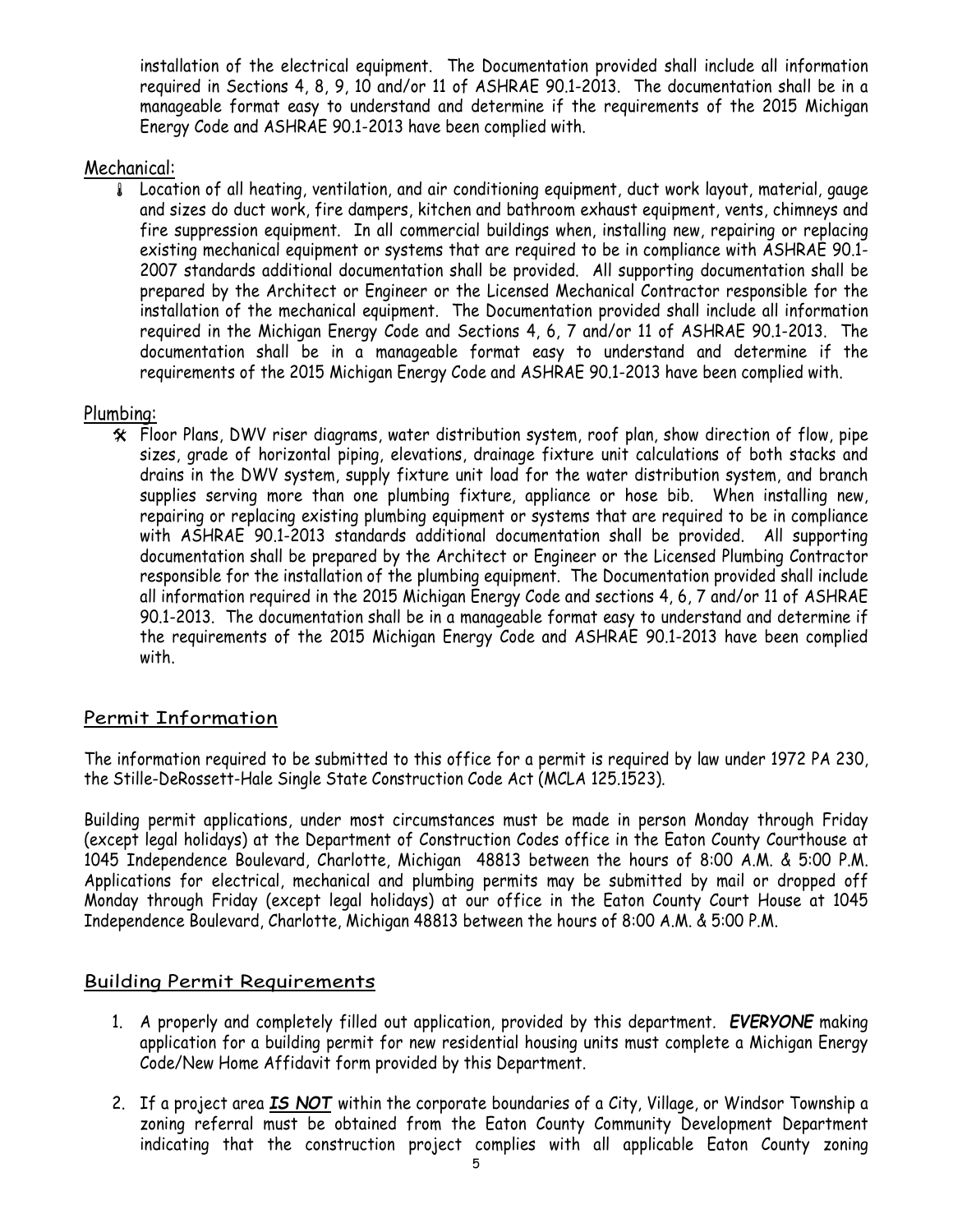installation of the electrical equipment. The Documentation provided shall include all information required in Sections 4, 8, 9, 10 and/or 11 of ASHRAE 90.1-2013. The documentation shall be in a manageable format easy to understand and determine if the requirements of the 2015 Michigan Energy Code and ASHRAE 90.1-2013 have been complied with.

#### Mechanical:

 Location of all heating, ventilation, and air conditioning equipment, duct work layout, material, gauge and sizes do duct work, fire dampers, kitchen and bathroom exhaust equipment, vents, chimneys and fire suppression equipment. In all commercial buildings when, installing new, repairing or replacing existing mechanical equipment or systems that are required to be in compliance with ASHRAE 90.1- 2007 standards additional documentation shall be provided. All supporting documentation shall be prepared by the Architect or Engineer or the Licensed Mechanical Contractor responsible for the installation of the mechanical equipment. The Documentation provided shall include all information required in the Michigan Energy Code and Sections 4, 6, 7 and/or 11 of ASHRAE 90.1-2013. The documentation shall be in a manageable format easy to understand and determine if the requirements of the 2015 Michigan Energy Code and ASHRAE 90.1-2013 have been complied with.

#### Plumbing:

 $*$  Floor Plans, DWV riser diagrams, water distribution system, roof plan, show direction of flow, pipe sizes, grade of horizontal piping, elevations, drainage fixture unit calculations of both stacks and drains in the DWV system, supply fixture unit load for the water distribution system, and branch supplies serving more than one plumbing fixture, appliance or hose bib. When installing new, repairing or replacing existing plumbing equipment or systems that are required to be in compliance with ASHRAE 90.1-2013 standards additional documentation shall be provided. All supporting documentation shall be prepared by the Architect or Engineer or the Licensed Plumbing Contractor responsible for the installation of the plumbing equipment. The Documentation provided shall include all information required in the 2015 Michigan Energy Code and sections 4, 6, 7 and/or 11 of ASHRAE 90.1-2013. The documentation shall be in a manageable format easy to understand and determine if the requirements of the 2015 Michigan Energy Code and ASHRAE 90.1-2013 have been complied with.

#### Permit Information

The information required to be submitted to this office for a permit is required by law under 1972 PA 230, the Stille-DeRossett-Hale Single State Construction Code Act (MCLA 125.1523).

Building permit applications, under most circumstances must be made in person Monday through Friday (except legal holidays) at the Department of Construction Codes office in the Eaton County Courthouse at 1045 Independence Boulevard, Charlotte, Michigan 48813 between the hours of 8:00 A.M. & 5:00 P.M. Applications for electrical, mechanical and plumbing permits may be submitted by mail or dropped off Monday through Friday (except legal holidays) at our office in the Eaton County Court House at 1045 Independence Boulevard, Charlotte, Michigan 48813 between the hours of 8:00 A.M. & 5:00 P.M.

#### Building Permit Requirements

- 1. A properly and completely filled out application, provided by this department. EVERYONE making application for a building permit for new residential housing units must complete a Michigan Energy Code/New Home Affidavit form provided by this Department.
- 2. If a project area **IS NOT** within the corporate boundaries of a City, Village, or Windsor Township a zoning referral must be obtained from the Eaton County Community Development Department indicating that the construction project complies with all applicable Eaton County zoning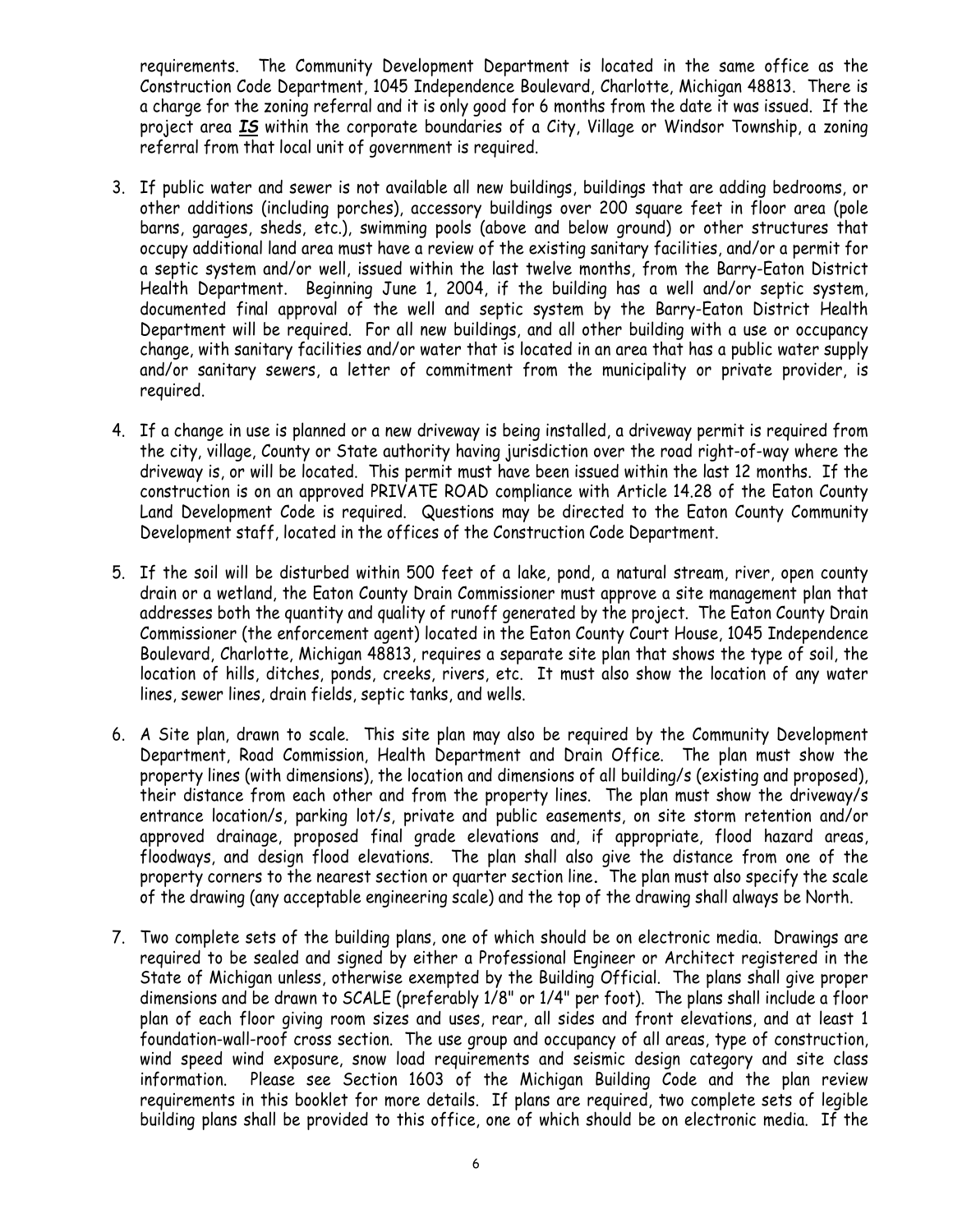requirements. The Community Development Department is located in the same office as the Construction Code Department, 1045 Independence Boulevard, Charlotte, Michigan 48813. There is a charge for the zoning referral and it is only good for 6 months from the date it was issued. If the project area 15 within the corporate boundaries of a City, Village or Windsor Township, a zoning referral from that local unit of government is required.

- 3. If public water and sewer is not available all new buildings, buildings that are adding bedrooms, or other additions (including porches), accessory buildings over 200 square feet in floor area (pole barns, garages, sheds, etc.), swimming pools (above and below ground) or other structures that occupy additional land area must have a review of the existing sanitary facilities, and/or a permit for a septic system and/or well, issued within the last twelve months, from the Barry-Eaton District Health Department. Beginning June 1, 2004, if the building has a well and/or septic system, documented final approval of the well and septic system by the Barry-Eaton District Health Department will be required. For all new buildings, and all other building with a use or occupancy change, with sanitary facilities and/or water that is located in an area that has a public water supply and/or sanitary sewers, a letter of commitment from the municipality or private provider, is required.
- 4. If a change in use is planned or a new driveway is being installed, a driveway permit is required from the city, village, County or State authority having jurisdiction over the road right-of-way where the driveway is, or will be located. This permit must have been issued within the last 12 months. If the construction is on an approved PRIVATE ROAD compliance with Article 14.28 of the Eaton County Land Development Code is required. Questions may be directed to the Eaton County Community Development staff, located in the offices of the Construction Code Department.
- 5. If the soil will be disturbed within 500 feet of a lake, pond, a natural stream, river, open county drain or a wetland, the Eaton County Drain Commissioner must approve a site management plan that addresses both the quantity and quality of runoff generated by the project. The Eaton County Drain Commissioner (the enforcement agent) located in the Eaton County Court House, 1045 Independence Boulevard, Charlotte, Michigan 48813, requires a separate site plan that shows the type of soil, the location of hills, ditches, ponds, creeks, rivers, etc. It must also show the location of any water lines, sewer lines, drain fields, septic tanks, and wells.
- 6. A Site plan, drawn to scale. This site plan may also be required by the Community Development Department, Road Commission, Health Department and Drain Office. The plan must show the property lines (with dimensions), the location and dimensions of all building/s (existing and proposed), their distance from each other and from the property lines. The plan must show the driveway/s entrance location/s, parking lot/s, private and public easements, on site storm retention and/or approved drainage, proposed final grade elevations and, if appropriate, flood hazard areas, floodways, and design flood elevations. The plan shall also give the distance from one of the property corners to the nearest section or quarter section line. The plan must also specify the scale of the drawing (any acceptable engineering scale) and the top of the drawing shall always be North.
- 7. Two complete sets of the building plans, one of which should be on electronic media. Drawings are required to be sealed and signed by either a Professional Engineer or Architect registered in the State of Michigan unless, otherwise exempted by the Building Official. The plans shall give proper dimensions and be drawn to SCALE (preferably 1/8" or 1/4" per foot). The plans shall include a floor plan of each floor giving room sizes and uses, rear, all sides and front elevations, and at least 1 foundation-wall-roof cross section. The use group and occupancy of all areas, type of construction, wind speed wind exposure, snow load requirements and seismic design category and site class information. Please see Section 1603 of the Michigan Building Code and the plan review requirements in this booklet for more details. If plans are required, two complete sets of legible building plans shall be provided to this office, one of which should be on electronic media. If the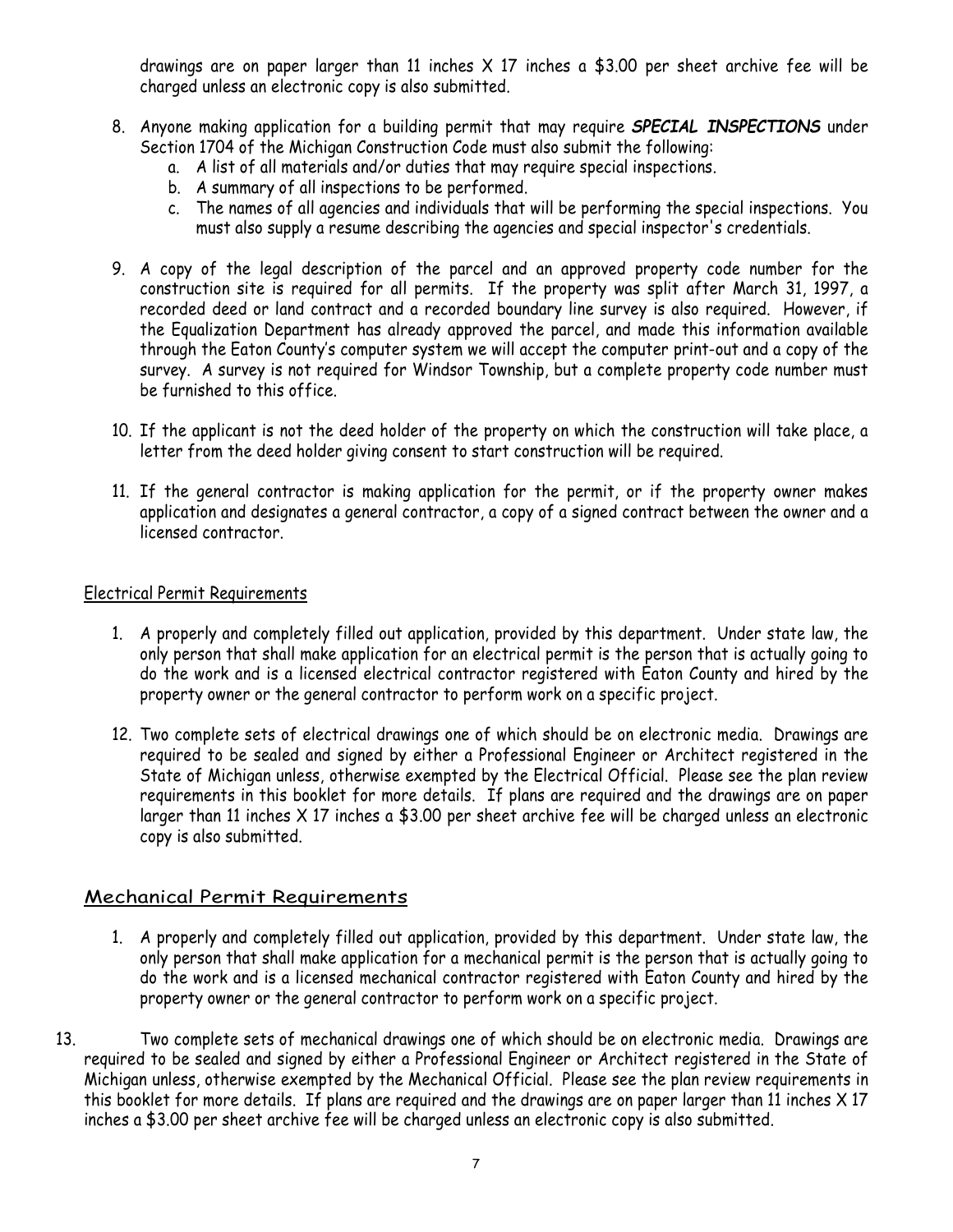drawings are on paper larger than 11 inches  $\times$  17 inches a \$3.00 per sheet archive fee will be charged unless an electronic copy is also submitted.

- 8. Anyone making application for a building permit that may require **SPECIAL INSPECTIONS** under Section 1704 of the Michigan Construction Code must also submit the following:
	- a. A list of all materials and/or duties that may require special inspections.
	- b. A summary of all inspections to be performed.
	- c. The names of all agencies and individuals that will be performing the special inspections. You must also supply a resume describing the agencies and special inspector's credentials.
- 9. A copy of the legal description of the parcel and an approved property code number for the construction site is required for all permits. If the property was split after March 31, 1997, a recorded deed or land contract and a recorded boundary line survey is also required. However, if the Equalization Department has already approved the parcel, and made this information available through the Eaton County's computer system we will accept the computer print-out and a copy of the survey. A survey is not required for Windsor Township, but a complete property code number must be furnished to this office.
- 10. If the applicant is not the deed holder of the property on which the construction will take place, a letter from the deed holder giving consent to start construction will be required.
- 11. If the general contractor is making application for the permit, or if the property owner makes application and designates a general contractor, a copy of a signed contract between the owner and a licensed contractor.

#### Electrical Permit Requirements

- 1. A properly and completely filled out application, provided by this department. Under state law, the only person that shall make application for an electrical permit is the person that is actually going to do the work and is a licensed electrical contractor registered with Eaton County and hired by the property owner or the general contractor to perform work on a specific project.
- 12. Two complete sets of electrical drawings one of which should be on electronic media. Drawings are required to be sealed and signed by either a Professional Engineer or Architect registered in the State of Michigan unless, otherwise exempted by the Electrical Official. Please see the plan review requirements in this booklet for more details. If plans are required and the drawings are on paper larger than 11 inches X 17 inches a \$3.00 per sheet archive fee will be charged unless an electronic copy is also submitted.

#### Mechanical Permit Requirements

- 1. A properly and completely filled out application, provided by this department. Under state law, the only person that shall make application for a mechanical permit is the person that is actually going to do the work and is a licensed mechanical contractor registered with Eaton County and hired by the property owner or the general contractor to perform work on a specific project.
- 13. Two complete sets of mechanical drawings one of which should be on electronic media. Drawings are required to be sealed and signed by either a Professional Engineer or Architect registered in the State of Michigan unless, otherwise exempted by the Mechanical Official. Please see the plan review requirements in this booklet for more details. If plans are required and the drawings are on paper larger than 11 inches X 17 inches a \$3.00 per sheet archive fee will be charged unless an electronic copy is also submitted.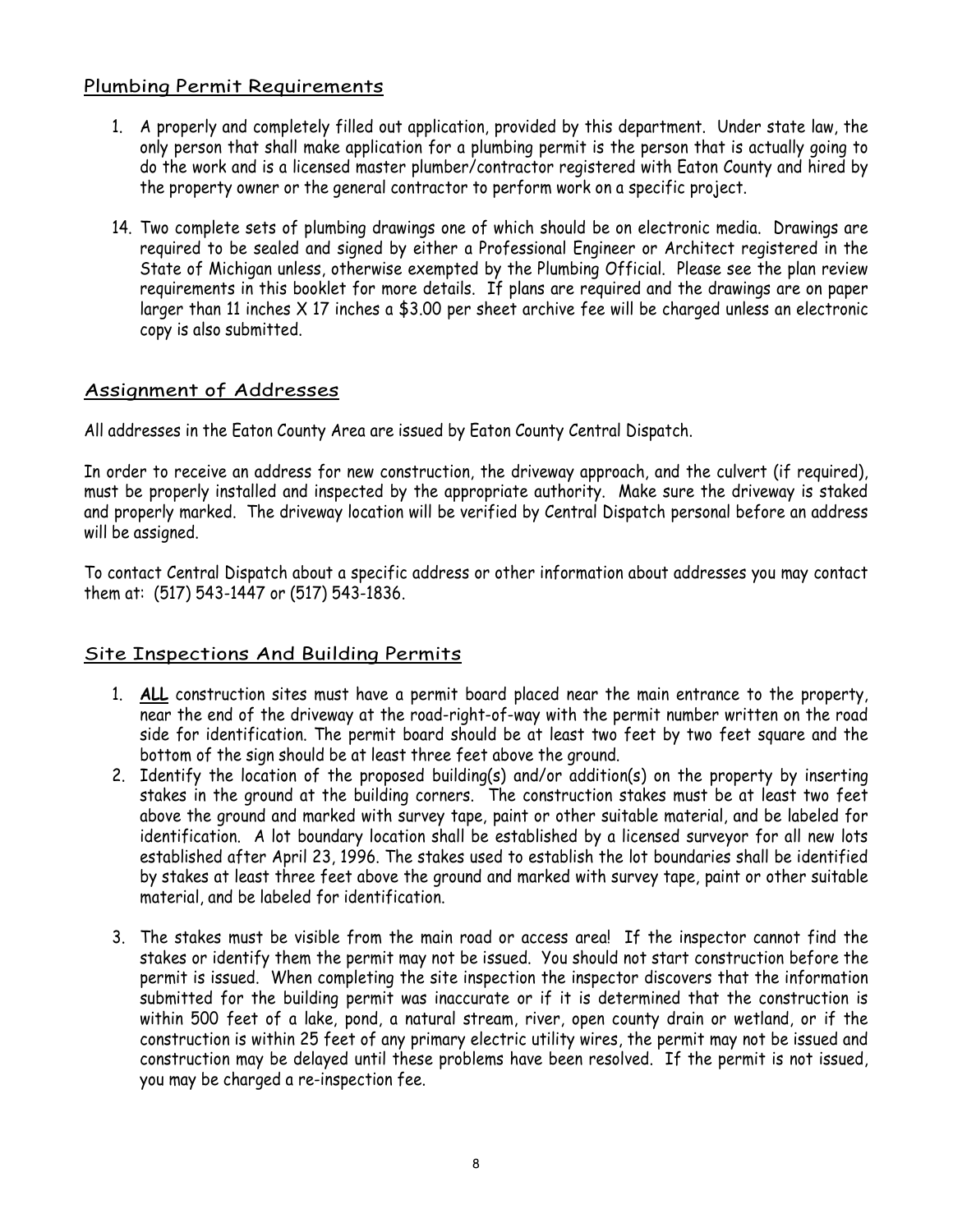#### Plumbing Permit Requirements

- 1. A properly and completely filled out application, provided by this department. Under state law, the only person that shall make application for a plumbing permit is the person that is actually going to do the work and is a licensed master plumber/contractor registered with Eaton County and hired by the property owner or the general contractor to perform work on a specific project.
- 14. Two complete sets of plumbing drawings one of which should be on electronic media. Drawings are required to be sealed and signed by either a Professional Engineer or Architect registered in the State of Michigan unless, otherwise exempted by the Plumbing Official. Please see the plan review requirements in this booklet for more details. If plans are required and the drawings are on paper larger than 11 inches X 17 inches a \$3.00 per sheet archive fee will be charged unless an electronic copy is also submitted.

#### Assignment of Addresses

All addresses in the Eaton County Area are issued by Eaton County Central Dispatch.

In order to receive an address for new construction, the driveway approach, and the culvert (if required), must be properly installed and inspected by the appropriate authority. Make sure the driveway is staked and properly marked. The driveway location will be verified by Central Dispatch personal before an address will be assigned.

To contact Central Dispatch about a specific address or other information about addresses you may contact them at: (517) 543-1447 or (517) 543-1836.

#### Site Inspections And Building Permits

- 1. ALL construction sites must have a permit board placed near the main entrance to the property, near the end of the driveway at the road-right-of-way with the permit number written on the road side for identification. The permit board should be at least two feet by two feet square and the bottom of the sign should be at least three feet above the ground.
- 2. Identify the location of the proposed building(s) and/or addition(s) on the property by inserting stakes in the ground at the building corners. The construction stakes must be at least two feet above the ground and marked with survey tape, paint or other suitable material, and be labeled for identification. A lot boundary location shall be established by a licensed surveyor for all new lots established after April 23, 1996. The stakes used to establish the lot boundaries shall be identified by stakes at least three feet above the ground and marked with survey tape, paint or other suitable material, and be labeled for identification.
- 3. The stakes must be visible from the main road or access area! If the inspector cannot find the stakes or identify them the permit may not be issued. You should not start construction before the permit is issued. When completing the site inspection the inspector discovers that the information submitted for the building permit was inaccurate or if it is determined that the construction is within 500 feet of a lake, pond, a natural stream, river, open county drain or wetland, or if the construction is within 25 feet of any primary electric utility wires, the permit may not be issued and construction may be delayed until these problems have been resolved. If the permit is not issued, you may be charged a re-inspection fee.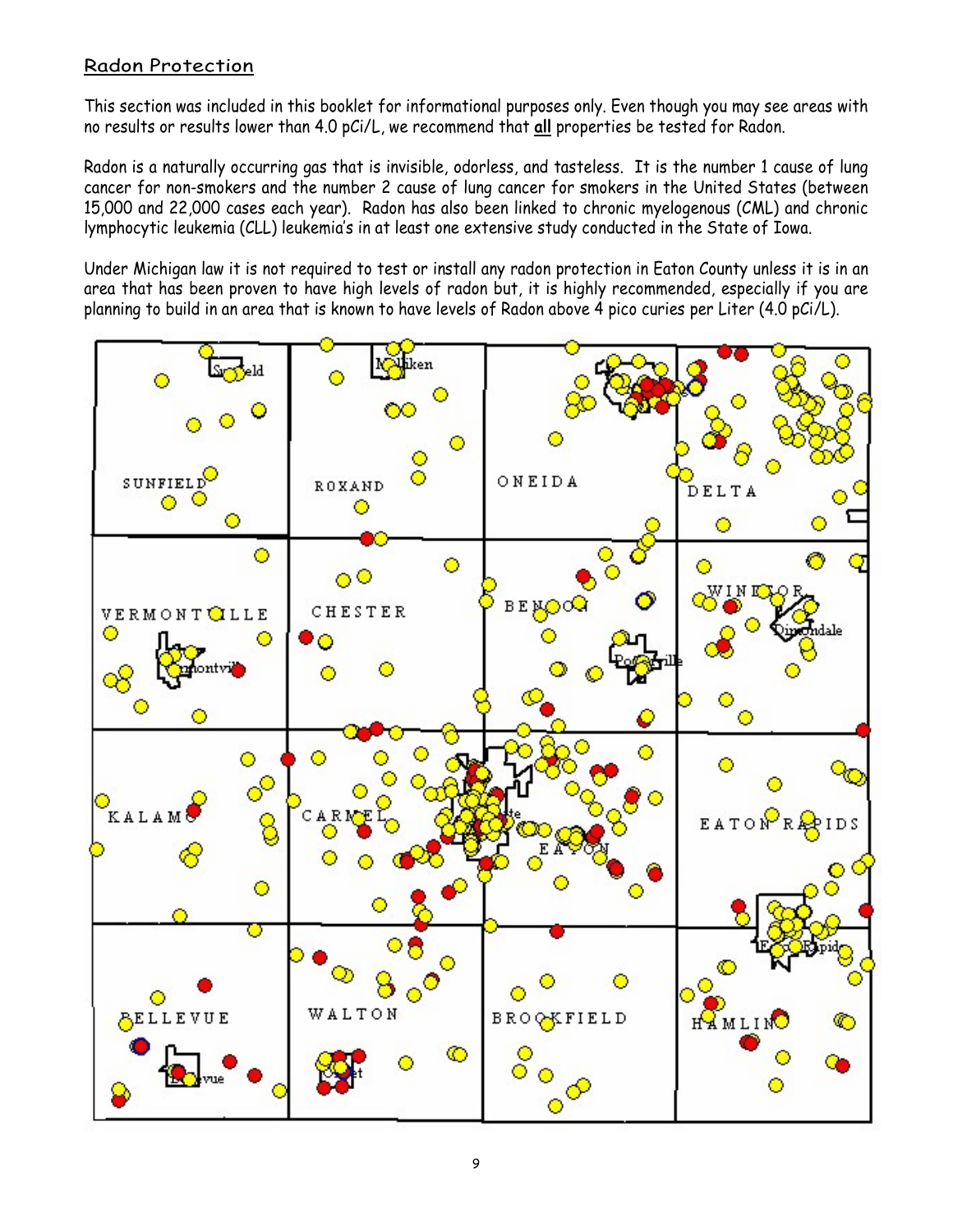#### Radon Protection

This section was included in this booklet for informational purposes only. Even though you may see areas with no results or results lower than 4.0 pCi/L, we recommend that all properties be tested for Radon.

Radon is a naturally occurring gas that is invisible, odorless, and tasteless. It is the number 1 cause of lung cancer for non-smokers and the number 2 cause of lung cancer for smokers in the United States (between 15,000 and 22,000 cases each year). Radon has also been linked to chronic myelogenous (CML) and chronic lymphocytic leukemia (CLL) leukemia's in at least one extensive study conducted in the State of Iowa.

Under Michigan law it is not required to test or install any radon protection in Eaton County unless it is in an area that has been proven to have high levels of radon but, it is highly recommended, especially if you are planning to build in an area that is known to have levels of Radon above 4 pico curies per Liter (4.0 pCi/L).

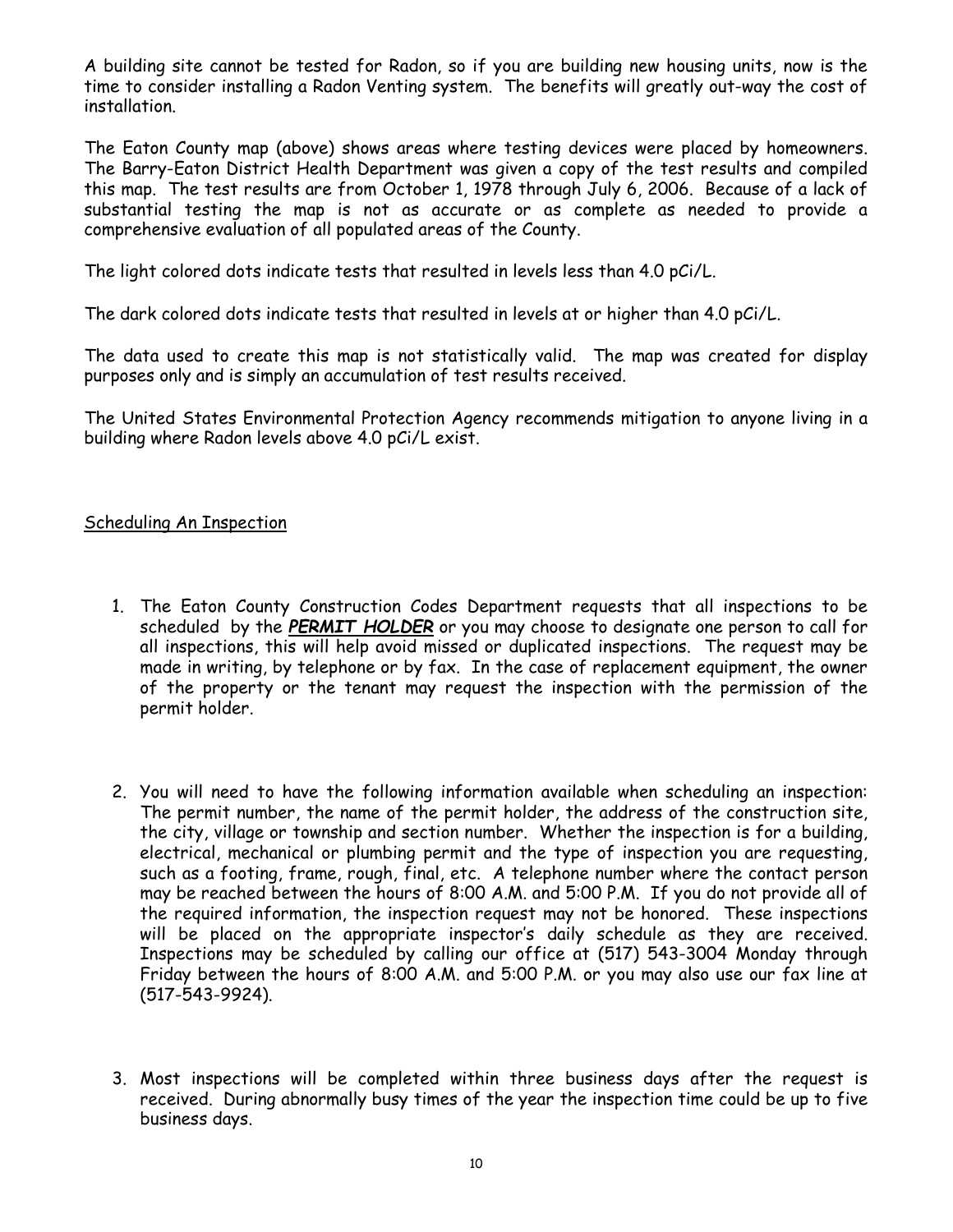A building site cannot be tested for Radon, so if you are building new housing units, now is the time to consider installing a Radon Venting system. The benefits will greatly out-way the cost of installation.

The Eaton County map (above) shows areas where testing devices were placed by homeowners. The Barry-Eaton District Health Department was given a copy of the test results and compiled this map. The test results are from October 1, 1978 through July 6, 2006. Because of a lack of substantial testing the map is not as accurate or as complete as needed to provide a comprehensive evaluation of all populated areas of the County.

The light colored dots indicate tests that resulted in levels less than 4.0 pCi/L.

The dark colored dots indicate tests that resulted in levels at or higher than 4.0 pCi/L.

The data used to create this map is not statistically valid. The map was created for display purposes only and is simply an accumulation of test results received.

The United States Environmental Protection Agency recommends mitigation to anyone living in a building where Radon levels above 4.0 pCi/L exist.

#### Scheduling An Inspection

- 1. The Eaton County Construction Codes Department requests that all inspections to be scheduled by the PERMIT HOLDER or you may choose to designate one person to call for all inspections, this will help avoid missed or duplicated inspections. The request may be made in writing, by telephone or by fax. In the case of replacement equipment, the owner of the property or the tenant may request the inspection with the permission of the permit holder.
- 2. You will need to have the following information available when scheduling an inspection: The permit number, the name of the permit holder, the address of the construction site, the city, village or township and section number. Whether the inspection is for a building, electrical, mechanical or plumbing permit and the type of inspection you are requesting, such as a footing, frame, rough, final, etc. A telephone number where the contact person may be reached between the hours of 8:00 A.M. and 5:00 P.M. If you do not provide all of the required information, the inspection request may not be honored. These inspections will be placed on the appropriate inspector's daily schedule as they are received. Inspections may be scheduled by calling our office at (517) 543-3004 Monday through Friday between the hours of 8:00 A.M. and 5:00 P.M. or you may also use our fax line at (517-543-9924).
- 3. Most inspections will be completed within three business days after the request is received. During abnormally busy times of the year the inspection time could be up to five business days.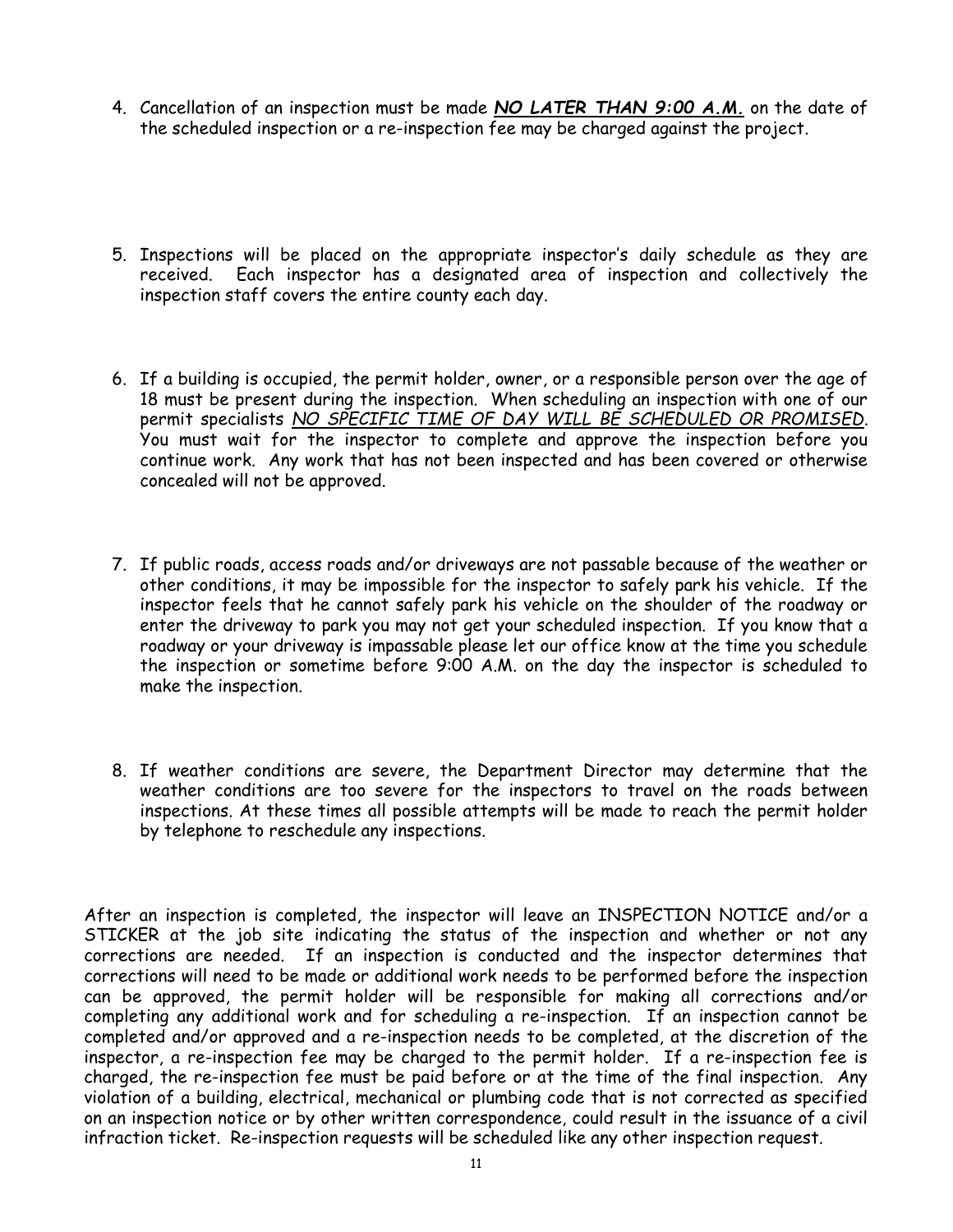- 4. Cancellation of an inspection must be made NO LATER THAN 9:00 A.M. on the date of the scheduled inspection or a re-inspection fee may be charged against the project.
- 5. Inspections will be placed on the appropriate inspector's daily schedule as they are received. Each inspector has a designated area of inspection and collectively the inspection staff covers the entire county each day.
- 6. If a building is occupied, the permit holder, owner, or a responsible person over the age of 18 must be present during the inspection. When scheduling an inspection with one of our permit specialists NO SPECIFIC TIME OF DAY WILL BE SCHEDULED OR PROMISED. You must wait for the inspector to complete and approve the inspection before you continue work. Any work that has not been inspected and has been covered or otherwise concealed will not be approved.
- 7. If public roads, access roads and/or driveways are not passable because of the weather or other conditions, it may be impossible for the inspector to safely park his vehicle. If the inspector feels that he cannot safely park his vehicle on the shoulder of the roadway or enter the driveway to park you may not get your scheduled inspection. If you know that a roadway or your driveway is impassable please let our office know at the time you schedule the inspection or sometime before 9:00 A.M. on the day the inspector is scheduled to make the inspection.
- 8. If weather conditions are severe, the Department Director may determine that the weather conditions are too severe for the inspectors to travel on the roads between inspections. At these times all possible attempts will be made to reach the permit holder by telephone to reschedule any inspections.

After an inspection is completed, the inspector will leave an INSPECTION NOTICE and/or a STICKER at the job site indicating the status of the inspection and whether or not any corrections are needed. If an inspection is conducted and the inspector determines that corrections will need to be made or additional work needs to be performed before the inspection can be approved, the permit holder will be responsible for making all corrections and/or completing any additional work and for scheduling a re-inspection. If an inspection cannot be completed and/or approved and a re-inspection needs to be completed, at the discretion of the inspector, a re-inspection fee may be charged to the permit holder. If a re-inspection fee is charged, the re-inspection fee must be paid before or at the time of the final inspection. Any violation of a building, electrical, mechanical or plumbing code that is not corrected as specified on an inspection notice or by other written correspondence, could result in the issuance of a civil infraction ticket. Re-inspection requests will be scheduled like any other inspection request.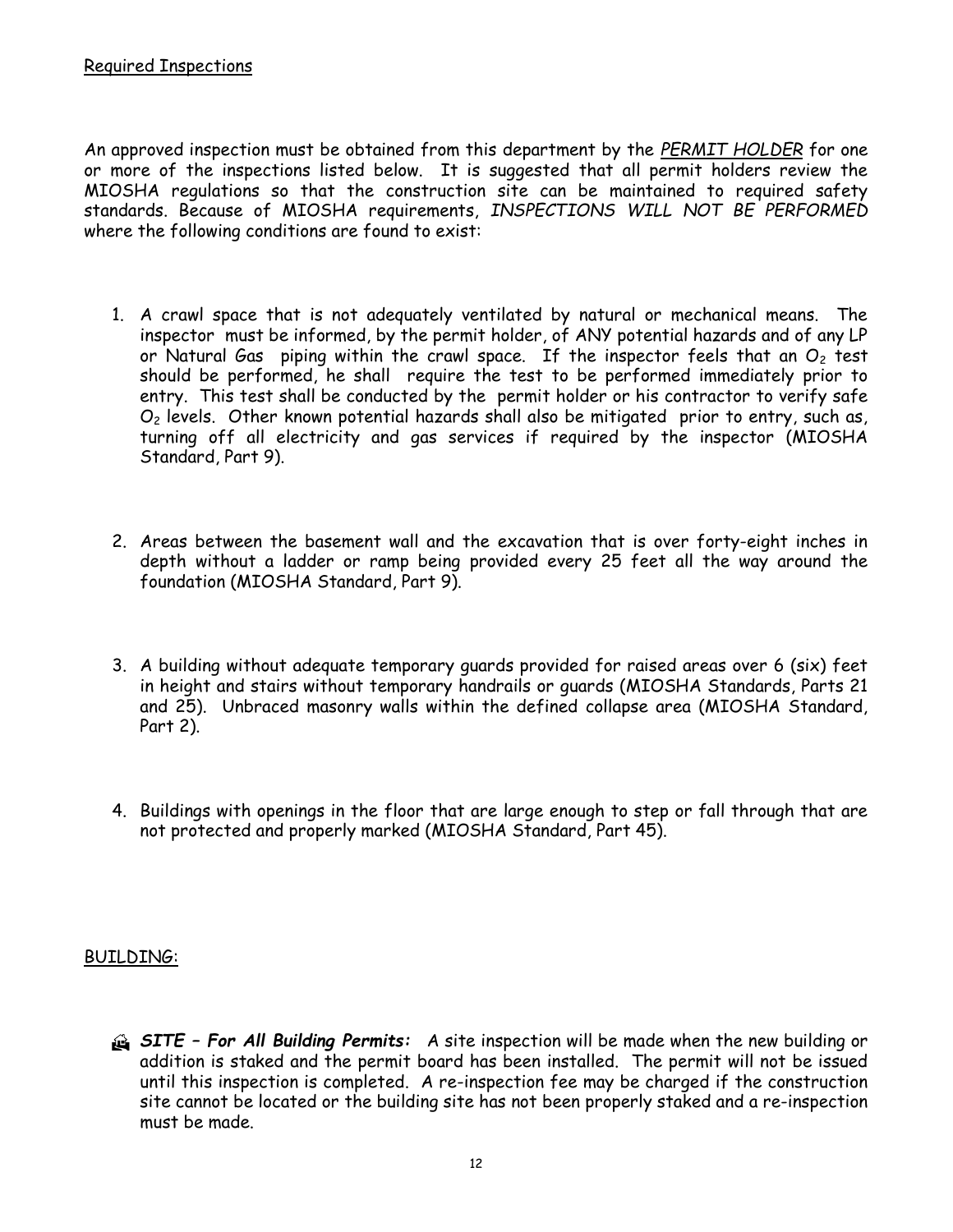An approved inspection must be obtained from this department by the PERMIT HOLDER for one or more of the inspections listed below. It is suggested that all permit holders review the MIOSHA regulations so that the construction site can be maintained to required safety standards. Because of MIOSHA requirements, INSPECTIONS WILL NOT BE PERFORMED where the following conditions are found to exist:

- 1. A crawl space that is not adequately ventilated by natural or mechanical means. The inspector must be informed, by the permit holder, of ANY potential hazards and of any LP or Natural Gas piping within the crawl space. If the inspector feels that an  $O<sub>2</sub>$  test should be performed, he shall require the test to be performed immediately prior to entry. This test shall be conducted by the permit holder or his contractor to verify safe  $O<sub>2</sub>$  levels. Other known potential hazards shall also be mitigated prior to entry, such as, turning off all electricity and gas services if required by the inspector (MIOSHA Standard, Part 9).
- 2. Areas between the basement wall and the excavation that is over forty-eight inches in depth without a ladder or ramp being provided every 25 feet all the way around the foundation (MIOSHA Standard, Part 9).
- 3. A building without adequate temporary guards provided for raised areas over 6 (six) feet in height and stairs without temporary handrails or guards (MIOSHA Standards, Parts 21 and 25). Unbraced masonry walls within the defined collapse area (MIOSHA Standard, Part 2).
- 4. Buildings with openings in the floor that are large enough to step or fall through that are not protected and properly marked (MIOSHA Standard, Part 45).

#### BUILDING:

**SITE - For All Building Permits:** A site inspection will be made when the new building or addition is staked and the permit board has been installed. The permit will not be issued until this inspection is completed. A re-inspection fee may be charged if the construction site cannot be located or the building site has not been properly staked and a re-inspection must be made.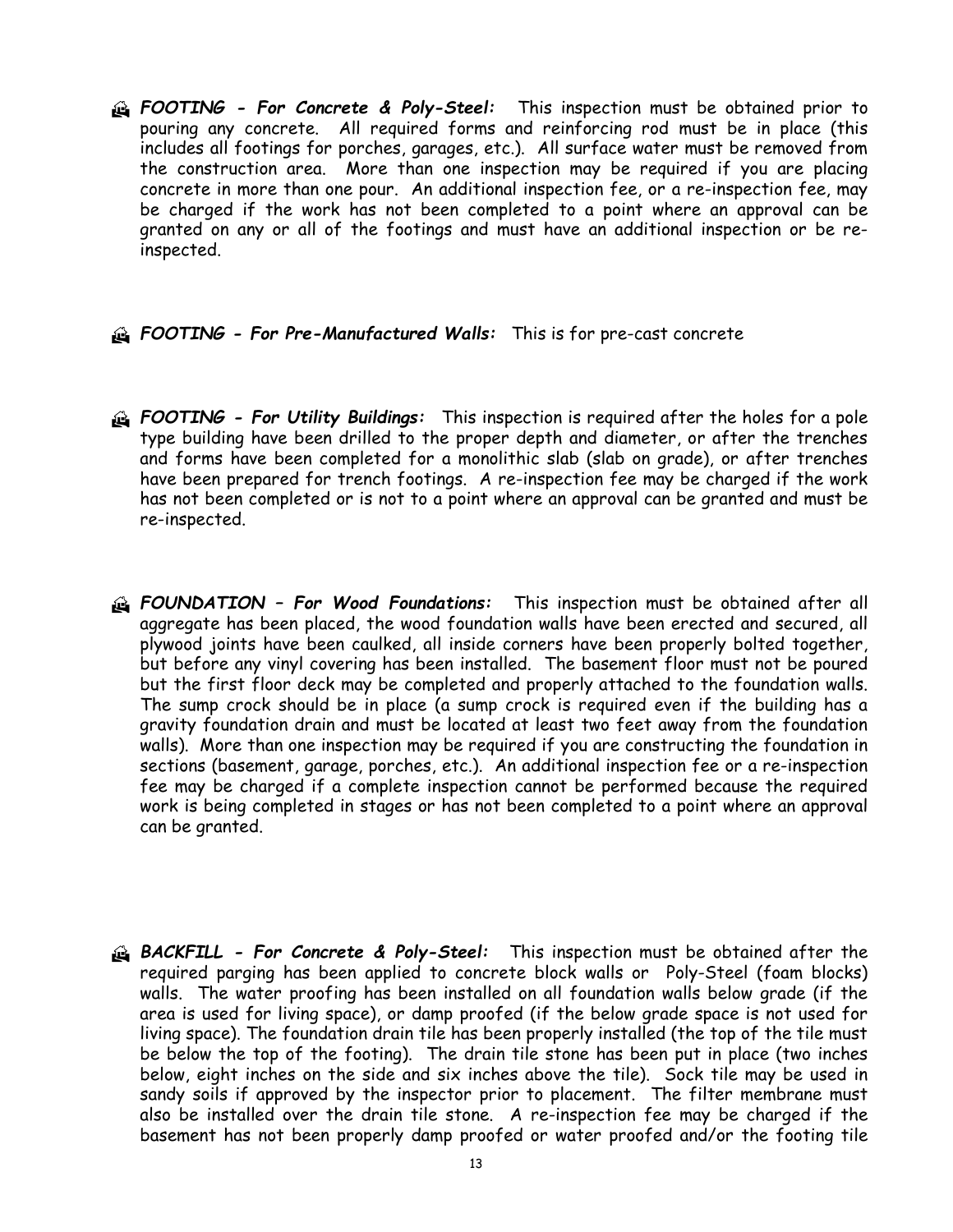G FOOTING - For Concrete & Poly-Steel: This inspection must be obtained prior to pouring any concrete. All required forms and reinforcing rod must be in place (this includes all footings for porches, garages, etc.). All surface water must be removed from the construction area. More than one inspection may be required if you are placing concrete in more than one pour. An additional inspection fee, or a re-inspection fee, may be charged if the work has not been completed to a point where an approval can be granted on any or all of the footings and must have an additional inspection or be reinspected.

#### **A FOOTING - For Pre-Manufactured Walls:** This is for pre-cast concrete

- **A FOOTING For Utility Buildings:** This inspection is required after the holes for a pole type building have been drilled to the proper depth and diameter, or after the trenches and forms have been completed for a monolithic slab (slab on grade), or after trenches have been prepared for trench footings. A re-inspection fee may be charged if the work has not been completed or is not to a point where an approval can be granted and must be re-inspected.
- **EXEL FOUNDATION For Wood Foundations:** This inspection must be obtained after all aggregate has been placed, the wood foundation walls have been erected and secured, all plywood joints have been caulked, all inside corners have been properly bolted together, but before any vinyl covering has been installed. The basement floor must not be poured but the first floor deck may be completed and properly attached to the foundation walls. The sump crock should be in place (a sump crock is required even if the building has a gravity foundation drain and must be located at least two feet away from the foundation walls). More than one inspection may be required if you are constructing the foundation in sections (basement, garage, porches, etc.). An additional inspection fee or a re-inspection fee may be charged if a complete inspection cannot be performed because the required work is being completed in stages or has not been completed to a point where an approval can be granted.
- **BACKFILL For Concrete & Poly-Steel:** This inspection must be obtained after the required parging has been applied to concrete block walls or Poly-Steel (foam blocks) walls. The water proofing has been installed on all foundation walls below grade (if the area is used for living space), or damp proofed (if the below grade space is not used for living space). The foundation drain tile has been properly installed (the top of the tile must be below the top of the footing). The drain tile stone has been put in place (two inches below, eight inches on the side and six inches above the tile). Sock tile may be used in sandy soils if approved by the inspector prior to placement. The filter membrane must also be installed over the drain tile stone. A re-inspection fee may be charged if the basement has not been properly damp proofed or water proofed and/or the footing tile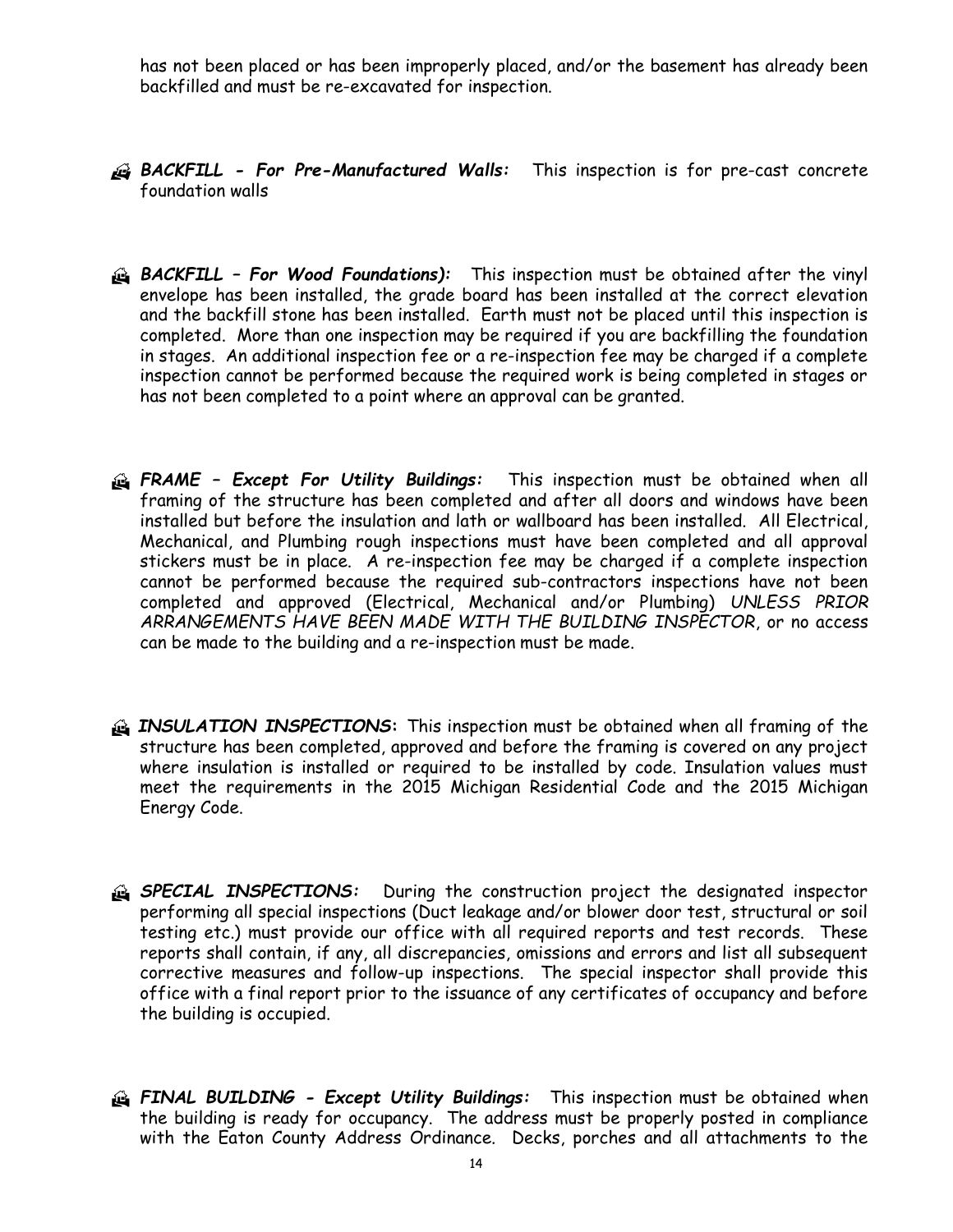has not been placed or has been improperly placed, and/or the basement has already been backfilled and must be re-excavated for inspection.



**BACKFILL - For Pre-Manufactured Walls:** This inspection is for pre-cast concrete foundation walls

- **BACKFILL For Wood Foundations):** This inspection must be obtained after the vinyl envelope has been installed, the grade board has been installed at the correct elevation and the backfill stone has been installed. Earth must not be placed until this inspection is completed. More than one inspection may be required if you are backfilling the foundation in stages. An additional inspection fee or a re-inspection fee may be charged if a complete inspection cannot be performed because the required work is being completed in stages or has not been completed to a point where an approval can be granted.
- G FRAME Except For Utility Buildings: This inspection must be obtained when all framing of the structure has been completed and after all doors and windows have been installed but before the insulation and lath or wallboard has been installed. All Electrical, Mechanical, and Plumbing rough inspections must have been completed and all approval stickers must be in place. A re-inspection fee may be charged if a complete inspection cannot be performed because the required sub-contractors inspections have not been completed and approved (Electrical, Mechanical and/or Plumbing) UNLESS PRIOR ARRANGEMENTS HAVE BEEN MADE WITH THE BUILDING INSPECTOR, or no access can be made to the building and a re-inspection must be made.
- **INSULATION INSPECTIONS:** This inspection must be obtained when all framing of the structure has been completed, approved and before the framing is covered on any project where insulation is installed or required to be installed by code. Insulation values must meet the requirements in the 2015 Michigan Residential Code and the 2015 Michigan Energy Code.
- **SPECIAL INSPECTIONS:** During the construction project the designated inspector performing all special inspections (Duct leakage and/or blower door test, structural or soil testing etc.) must provide our office with all required reports and test records. These reports shall contain, if any, all discrepancies, omissions and errors and list all subsequent corrective measures and follow-up inspections. The special inspector shall provide this office with a final report prior to the issuance of any certificates of occupancy and before the building is occupied.
- FINAL BUILDING Except Utility Buildings: This inspection must be obtained when the building is ready for occupancy. The address must be properly posted in compliance with the Eaton County Address Ordinance. Decks, porches and all attachments to the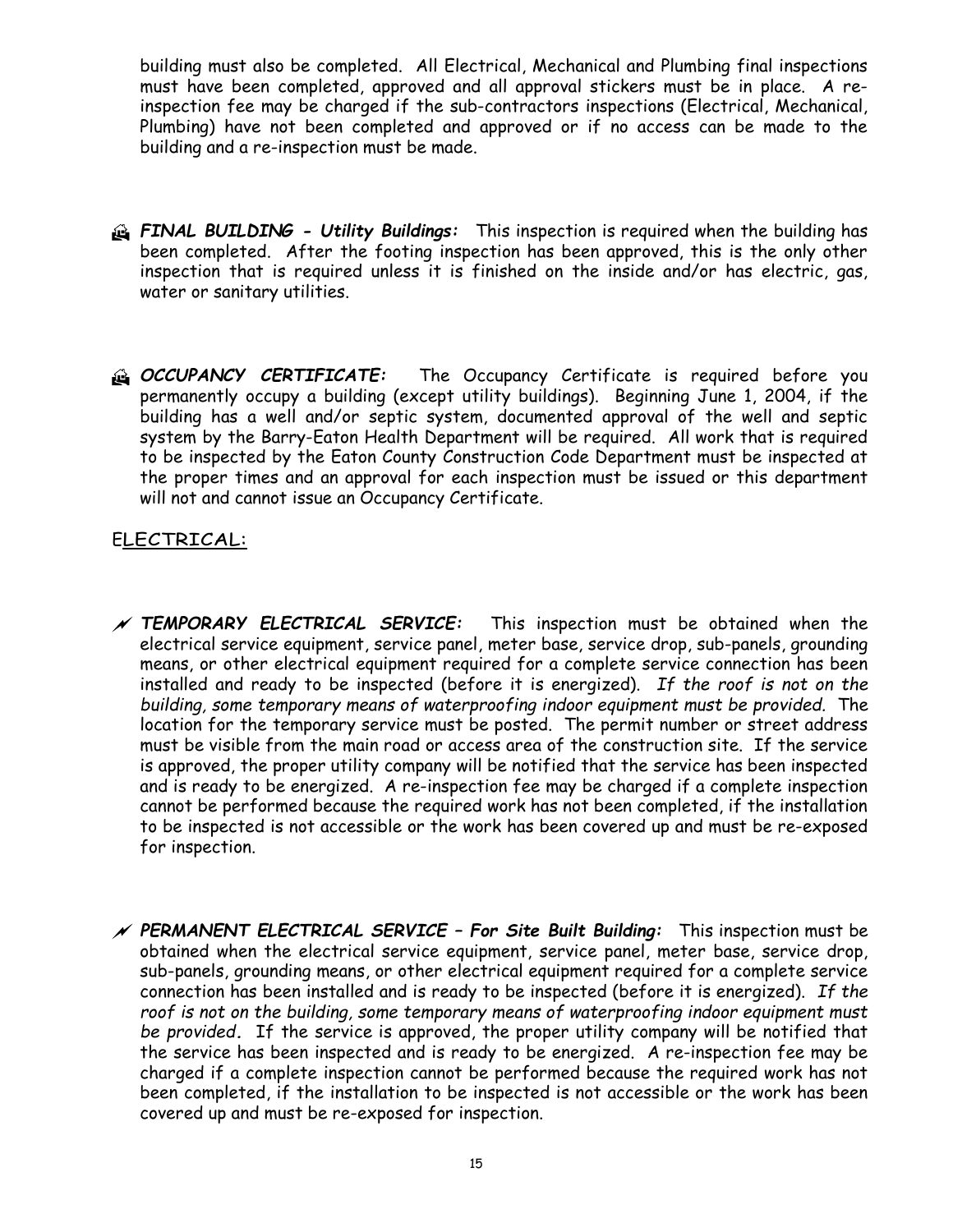building must also be completed. All Electrical, Mechanical and Plumbing final inspections must have been completed, approved and all approval stickers must be in place. A reinspection fee may be charged if the sub-contractors inspections (Electrical, Mechanical, Plumbing) have not been completed and approved or if no access can be made to the building and a re-inspection must be made.

- **A FINAL BUILDING Utility Buildings:** This inspection is required when the building has been completed. After the footing inspection has been approved, this is the only other inspection that is required unless it is finished on the inside and/or has electric, gas, water or sanitary utilities.
- C OCCUPANCY CERTIFICATE: The Occupancy Certificate is required before you permanently occupy a building (except utility buildings). Beginning June 1, 2004, if the building has a well and/or septic system, documented approval of the well and septic system by the Barry-Eaton Health Department will be required. All work that is required to be inspected by the Eaton County Construction Code Department must be inspected at the proper times and an approval for each inspection must be issued or this department will not and cannot issue an Occupancy Certificate.

#### ELECTRICAL:

- $N$  TEMPORARY ELECTRICAL SERVICE: This inspection must be obtained when the electrical service equipment, service panel, meter base, service drop, sub-panels, grounding means, or other electrical equipment required for a complete service connection has been installed and ready to be inspected (before it is energized). If the roof is not on the building, some temporary means of waterproofing indoor equipment must be provided. The location for the temporary service must be posted. The permit number or street address must be visible from the main road or access area of the construction site. If the service is approved, the proper utility company will be notified that the service has been inspected and is ready to be energized. A re-inspection fee may be charged if a complete inspection cannot be performed because the required work has not been completed, if the installation to be inspected is not accessible or the work has been covered up and must be re-exposed for inspection.
- $\mathscr M$  PERMANENT ELECTRICAL SERVICE For Site Built Building: This inspection must be obtained when the electrical service equipment, service panel, meter base, service drop, sub-panels, grounding means, or other electrical equipment required for a complete service connection has been installed and is ready to be inspected (before it is energized). If the roof is not on the building, some temporary means of waterproofing indoor equipment must be provided. If the service is approved, the proper utility company will be notified that the service has been inspected and is ready to be energized. A re-inspection fee may be charged if a complete inspection cannot be performed because the required work has not been completed, if the installation to be inspected is not accessible or the work has been covered up and must be re-exposed for inspection.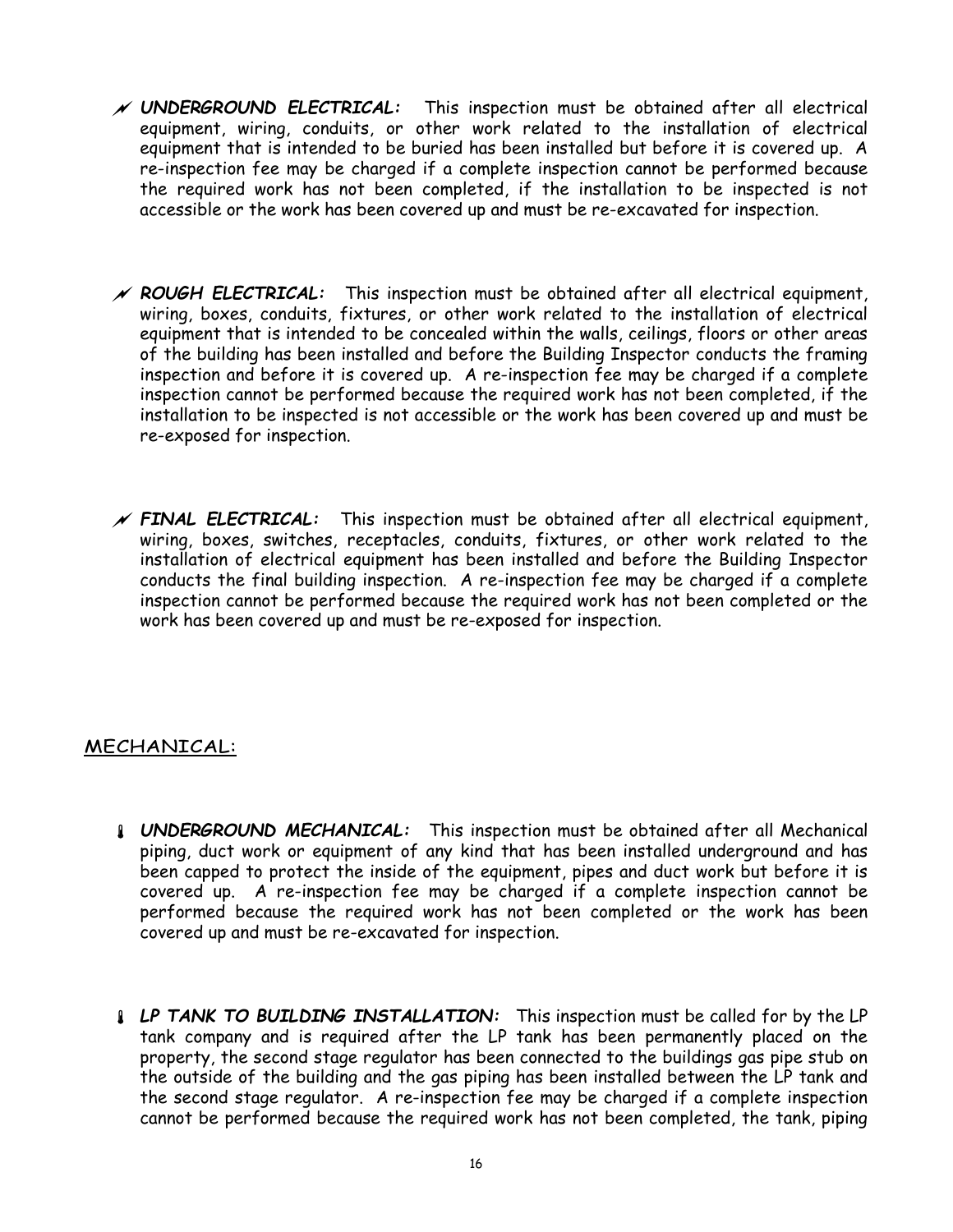- $\mathscr N$  UNDERGROUND ELECTRICAL: This inspection must be obtained after all electrical equipment, wiring, conduits, or other work related to the installation of electrical equipment that is intended to be buried has been installed but before it is covered up. A re-inspection fee may be charged if a complete inspection cannot be performed because the required work has not been completed, if the installation to be inspected is not accessible or the work has been covered up and must be re-excavated for inspection.
- $\mathscr N$  ROUGH ELECTRICAL: This inspection must be obtained after all electrical equipment, wiring, boxes, conduits, fixtures, or other work related to the installation of electrical equipment that is intended to be concealed within the walls, ceilings, floors or other areas of the building has been installed and before the Building Inspector conducts the framing inspection and before it is covered up. A re-inspection fee may be charged if a complete inspection cannot be performed because the required work has not been completed, if the installation to be inspected is not accessible or the work has been covered up and must be re-exposed for inspection.
- $N$  FINAL ELECTRICAL: This inspection must be obtained after all electrical equipment, wiring, boxes, switches, receptacles, conduits, fixtures, or other work related to the installation of electrical equipment has been installed and before the Building Inspector conducts the final building inspection. A re-inspection fee may be charged if a complete inspection cannot be performed because the required work has not been completed or the work has been covered up and must be re-exposed for inspection.

#### MECHANICAL:

- **UNDERGROUND MECHANICAL:** This inspection must be obtained after all Mechanical piping, duct work or equipment of any kind that has been installed underground and has been capped to protect the inside of the equipment, pipes and duct work but before it is covered up. A re-inspection fee may be charged if a complete inspection cannot be performed because the required work has not been completed or the work has been covered up and must be re-excavated for inspection.
- **LP TANK TO BUILDING INSTALLATION:** This inspection must be called for by the LP tank company and is required after the LP tank has been permanently placed on the property, the second stage regulator has been connected to the buildings gas pipe stub on the outside of the building and the gas piping has been installed between the LP tank and the second stage regulator. A re-inspection fee may be charged if a complete inspection cannot be performed because the required work has not been completed, the tank, piping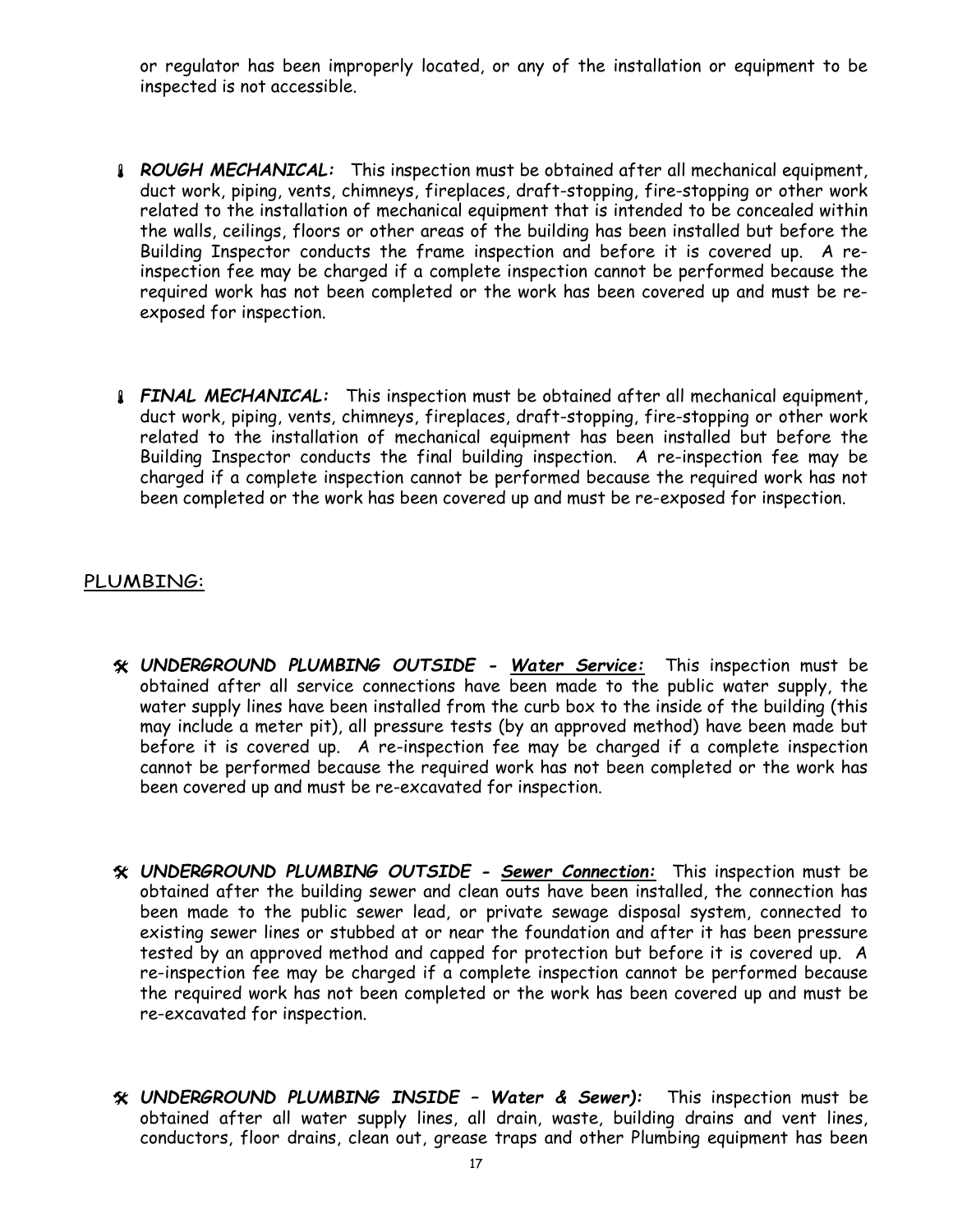or regulator has been improperly located, or any of the installation or equipment to be inspected is not accessible.

- **ROUGH MECHANICAL:** This inspection must be obtained after all mechanical equipment, duct work, piping, vents, chimneys, fireplaces, draft-stopping, fire-stopping or other work related to the installation of mechanical equipment that is intended to be concealed within the walls, ceilings, floors or other areas of the building has been installed but before the Building Inspector conducts the frame inspection and before it is covered up. A reinspection fee may be charged if a complete inspection cannot be performed because the required work has not been completed or the work has been covered up and must be reexposed for inspection.
- **FINAL MECHANICAL:** This inspection must be obtained after all mechanical equipment, duct work, piping, vents, chimneys, fireplaces, draft-stopping, fire-stopping or other work related to the installation of mechanical equipment has been installed but before the Building Inspector conducts the final building inspection. A re-inspection fee may be charged if a complete inspection cannot be performed because the required work has not been completed or the work has been covered up and must be re-exposed for inspection.

#### PLUMBING:

- UNDERGROUND PLUMBING OUTSIDE Water Service: This inspection must be obtained after all service connections have been made to the public water supply, the water supply lines have been installed from the curb box to the inside of the building (this may include a meter pit), all pressure tests (by an approved method) have been made but before it is covered up. A re-inspection fee may be charged if a complete inspection cannot be performed because the required work has not been completed or the work has been covered up and must be re-excavated for inspection.
- UNDERGROUND PLUMBING OUTSIDE Sewer Connection: This inspection must be obtained after the building sewer and clean outs have been installed, the connection has been made to the public sewer lead, or private sewage disposal system, connected to existing sewer lines or stubbed at or near the foundation and after it has been pressure tested by an approved method and capped for protection but before it is covered up. A re-inspection fee may be charged if a complete inspection cannot be performed because the required work has not been completed or the work has been covered up and must be re-excavated for inspection.
- UNDERGROUND PLUMBING INSIDE Water & Sewer): This inspection must be obtained after all water supply lines, all drain, waste, building drains and vent lines, conductors, floor drains, clean out, grease traps and other Plumbing equipment has been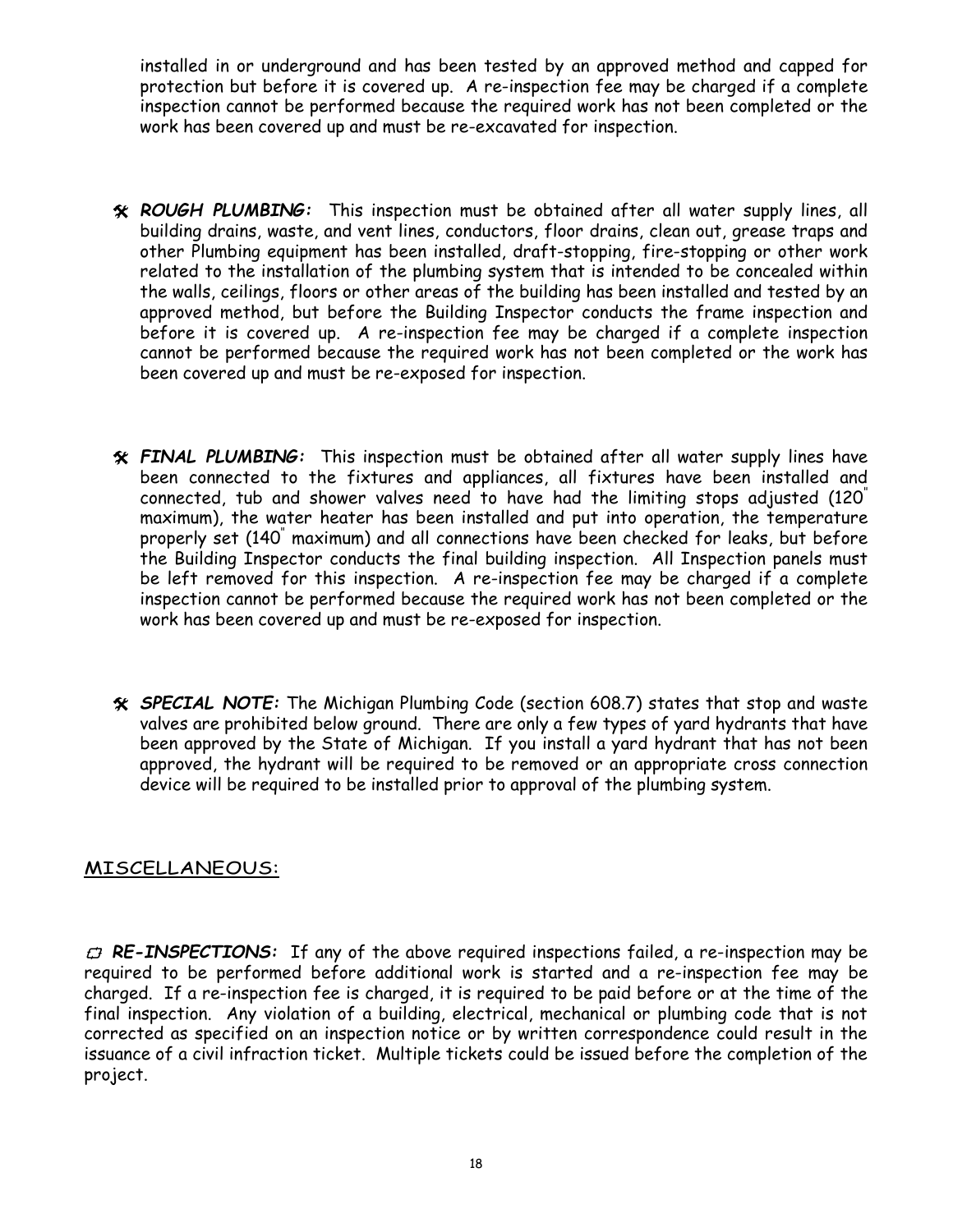installed in or underground and has been tested by an approved method and capped for protection but before it is covered up. A re-inspection fee may be charged if a complete inspection cannot be performed because the required work has not been completed or the work has been covered up and must be re-excavated for inspection.

- ROUGH PLUMBING: This inspection must be obtained after all water supply lines, all building drains, waste, and vent lines, conductors, floor drains, clean out, grease traps and other Plumbing equipment has been installed, draft-stopping, fire-stopping or other work related to the installation of the plumbing system that is intended to be concealed within the walls, ceilings, floors or other areas of the building has been installed and tested by an approved method, but before the Building Inspector conducts the frame inspection and before it is covered up. A re-inspection fee may be charged if a complete inspection cannot be performed because the required work has not been completed or the work has been covered up and must be re-exposed for inspection.
- FINAL PLUMBING: This inspection must be obtained after all water supply lines have been connected to the fixtures and appliances, all fixtures have been installed and connected, tub and shower valves need to have had the limiting stops adjusted (120" maximum), the water heater has been installed and put into operation, the temperature properly set (140" maximum) and all connections have been checked for leaks, but before the Building Inspector conducts the final building inspection. All Inspection panels must be left removed for this inspection. A re-inspection fee may be charged if a complete inspection cannot be performed because the required work has not been completed or the work has been covered up and must be re-exposed for inspection.
- SPECIAL NOTE: The Michigan Plumbing Code (section 608.7) states that stop and waste valves are prohibited below ground. There are only a few types of yard hydrants that have been approved by the State of Michigan. If you install a yard hydrant that has not been approved, the hydrant will be required to be removed or an appropriate cross connection device will be required to be installed prior to approval of the plumbing system.

#### MISCELLANEOUS:

 $\vec{\tau}$  RE-INSPECTIONS: If any of the above required inspections failed, a re-inspection may be required to be performed before additional work is started and a re-inspection fee may be charged. If a re-inspection fee is charged, it is required to be paid before or at the time of the final inspection. Any violation of a building, electrical, mechanical or plumbing code that is not corrected as specified on an inspection notice or by written correspondence could result in the issuance of a civil infraction ticket. Multiple tickets could be issued before the completion of the project.